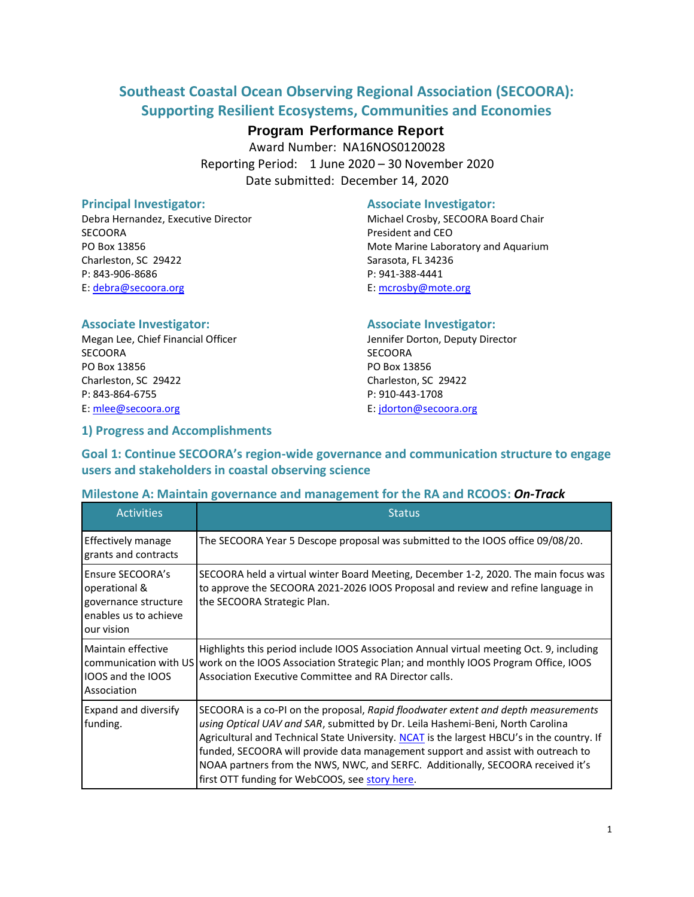## **Southeast Coastal Ocean Observing Regional Association (SECOORA): Supporting Resilient Ecosystems, Communities and Economies**

## **Program Performance Report**

Award Number: NA16NOS0120028 Reporting Period: 1 June 2020 – 30 November 2020 Date submitted: December 14, 2020

SECOORA **President and CEO** Charleston, SC 29422 Sarasota, FL 34236 P: 843-906-8686 P: 941-388-4441 E: [debra@secoora.org](mailto:debra@secoora.org) E: [mcrosby@mote.org](mailto:mcrosby@mote.org)

#### **Principal Investigator:** Associate Investigator:

Debra Hernandez, Executive Director Michael Crosby, SECOORA Board Chair PO Box 13856 **Mote Marine Laboratory and Aquarium** Mote Marine Laboratory and Aquarium

Megan Lee, Chief Financial Officer **Jennifer Dorton, Deputy Director** Jennifer Dorton, Deputy Director SECOORA SECOORA SECOORA DE SECOORA DE SECOORA DE SECOORA DE SECOORA DE SECOORA DE SECOORA DE SECOORA DE SECOORA DE SECOORA DE SECOORA DE SECOORA DE SECOORA DE SECOORA DE SECOORA DE SECOORA DE SECOORA DE SECOORA DE SECOORA PO Box 13856 PO Box 13856 Charleston, SC 29422 Charleston, SC 29422 P: 843-864-6755 P: 910-443-1708 E[: mlee@secoora.org](mailto:mlee@secoora.org) E: [jdorton@secoora.org](mailto:jdorton@secoora.org)

#### **Associate Investigator: Associate Investigator:**

#### **1) Progress and Accomplishments**

**Goal 1: Continue SECOORA's region-wide governance and communication structure to engage users and stakeholders in coastal observing science**

#### **Milestone A: Maintain governance and management for the RA and RCOOS:** *On-Track*

| <b>Activities</b>                                                                                | <b>Status</b>                                                                                                                                                                                                                                                                                                                                                                                                                                                                               |
|--------------------------------------------------------------------------------------------------|---------------------------------------------------------------------------------------------------------------------------------------------------------------------------------------------------------------------------------------------------------------------------------------------------------------------------------------------------------------------------------------------------------------------------------------------------------------------------------------------|
| Effectively manage<br>grants and contracts                                                       | The SECOORA Year 5 Descope proposal was submitted to the IOOS office 09/08/20.                                                                                                                                                                                                                                                                                                                                                                                                              |
| Ensure SECOORA's<br>operational &<br>governance structure<br>enables us to achieve<br>our vision | SECOORA held a virtual winter Board Meeting, December 1-2, 2020. The main focus was<br>to approve the SECOORA 2021-2026 IOOS Proposal and review and refine language in<br>the SECOORA Strategic Plan.                                                                                                                                                                                                                                                                                      |
| Maintain effective<br>communication with US<br>IOOS and the IOOS<br>Association                  | Highlights this period include IOOS Association Annual virtual meeting Oct. 9, including<br>work on the IOOS Association Strategic Plan; and monthly IOOS Program Office, IOOS<br>Association Executive Committee and RA Director calls.                                                                                                                                                                                                                                                    |
| Expand and diversify<br>funding.                                                                 | SECOORA is a co-PI on the proposal, Rapid floodwater extent and depth measurements<br>using Optical UAV and SAR, submitted by Dr. Leila Hashemi-Beni, North Carolina<br>Agricultural and Technical State University. NCAT is the largest HBCU's in the country. If<br>funded, SECOORA will provide data management support and assist with outreach to<br>NOAA partners from the NWS, NWC, and SERFC. Additionally, SECOORA received it's<br>first OTT funding for WebCOOS, see story here. |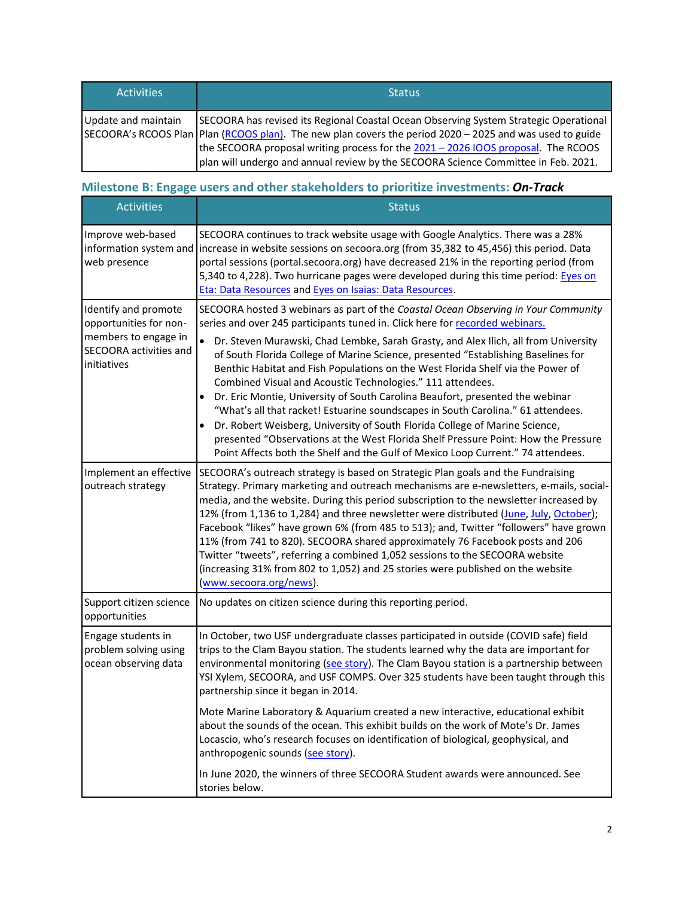| <b>Activities</b>   | <b>Status</b>                                                                                                                                                                                                                                                                                                                                                                  |
|---------------------|--------------------------------------------------------------------------------------------------------------------------------------------------------------------------------------------------------------------------------------------------------------------------------------------------------------------------------------------------------------------------------|
| Update and maintain | SECOORA has revised its Regional Coastal Ocean Observing System Strategic Operational<br>SECOORA's RCOOS Plan   Plan (RCOOS plan). The new plan covers the period 2020 – 2025 and was used to guide<br>the SECOORA proposal writing process for the 2021 - 2026 IOOS proposal. The RCOOS<br>plan will undergo and annual review by the SECOORA Science Committee in Feb. 2021. |

## **Milestone B: Engage users and other stakeholders to prioritize investments:** *On-Track*

| <b>Activities</b>                                                                                               | <b>Status</b>                                                                                                                                                                                                                                                                                                                                                                                                                                                                                                                                                                                                                                                                                                                                                                                                                                                                                                                                   |
|-----------------------------------------------------------------------------------------------------------------|-------------------------------------------------------------------------------------------------------------------------------------------------------------------------------------------------------------------------------------------------------------------------------------------------------------------------------------------------------------------------------------------------------------------------------------------------------------------------------------------------------------------------------------------------------------------------------------------------------------------------------------------------------------------------------------------------------------------------------------------------------------------------------------------------------------------------------------------------------------------------------------------------------------------------------------------------|
| Improve web-based<br>information system and<br>web presence                                                     | SECOORA continues to track website usage with Google Analytics. There was a 28%<br>increase in website sessions on secoora.org (from 35,382 to 45,456) this period. Data<br>portal sessions (portal.secoora.org) have decreased 21% in the reporting period (from<br>5,340 to 4,228). Two hurricane pages were developed during this time period: Eyes on<br>Eta: Data Resources and Eyes on Isaias: Data Resources.                                                                                                                                                                                                                                                                                                                                                                                                                                                                                                                            |
| Identify and promote<br>opportunities for non-<br>members to engage in<br>SECOORA activities and<br>initiatives | SECOORA hosted 3 webinars as part of the Coastal Ocean Observing in Your Community<br>series and over 245 participants tuned in. Click here for recorded webinars.<br>Dr. Steven Murawski, Chad Lembke, Sarah Grasty, and Alex Ilich, all from University<br>of South Florida College of Marine Science, presented "Establishing Baselines for<br>Benthic Habitat and Fish Populations on the West Florida Shelf via the Power of<br>Combined Visual and Acoustic Technologies." 111 attendees.<br>Dr. Eric Montie, University of South Carolina Beaufort, presented the webinar<br>٠<br>"What's all that racket! Estuarine soundscapes in South Carolina." 61 attendees.<br>Dr. Robert Weisberg, University of South Florida College of Marine Science,<br>$\bullet$<br>presented "Observations at the West Florida Shelf Pressure Point: How the Pressure<br>Point Affects both the Shelf and the Gulf of Mexico Loop Current." 74 attendees. |
| Implement an effective<br>outreach strategy                                                                     | SECOORA's outreach strategy is based on Strategic Plan goals and the Fundraising<br>Strategy. Primary marketing and outreach mechanisms are e-newsletters, e-mails, social-<br>media, and the website. During this period subscription to the newsletter increased by<br>12% (from 1,136 to 1,284) and three newsletter were distributed (June, July, October);<br>Facebook "likes" have grown 6% (from 485 to 513); and, Twitter "followers" have grown<br>11% (from 741 to 820). SECOORA shared approximately 76 Facebook posts and 206<br>Twitter "tweets", referring a combined 1,052 sessions to the SECOORA website<br>(increasing 31% from 802 to 1,052) and 25 stories were published on the website<br>(www.secoora.org/news).                                                                                                                                                                                                         |
| Support citizen science<br>opportunities                                                                        | No updates on citizen science during this reporting period.                                                                                                                                                                                                                                                                                                                                                                                                                                                                                                                                                                                                                                                                                                                                                                                                                                                                                     |
| Engage students in<br>problem solving using<br>ocean observing data                                             | In October, two USF undergraduate classes participated in outside (COVID safe) field<br>trips to the Clam Bayou station. The students learned why the data are important for<br>environmental monitoring (see story). The Clam Bayou station is a partnership between<br>YSI Xylem, SECOORA, and USF COMPS. Over 325 students have been taught through this<br>partnership since it began in 2014.                                                                                                                                                                                                                                                                                                                                                                                                                                                                                                                                              |
|                                                                                                                 | Mote Marine Laboratory & Aquarium created a new interactive, educational exhibit<br>about the sounds of the ocean. This exhibit builds on the work of Mote's Dr. James<br>Locascio, who's research focuses on identification of biological, geophysical, and<br>anthropogenic sounds (see story).                                                                                                                                                                                                                                                                                                                                                                                                                                                                                                                                                                                                                                               |
|                                                                                                                 | In June 2020, the winners of three SECOORA Student awards were announced. See<br>stories below.                                                                                                                                                                                                                                                                                                                                                                                                                                                                                                                                                                                                                                                                                                                                                                                                                                                 |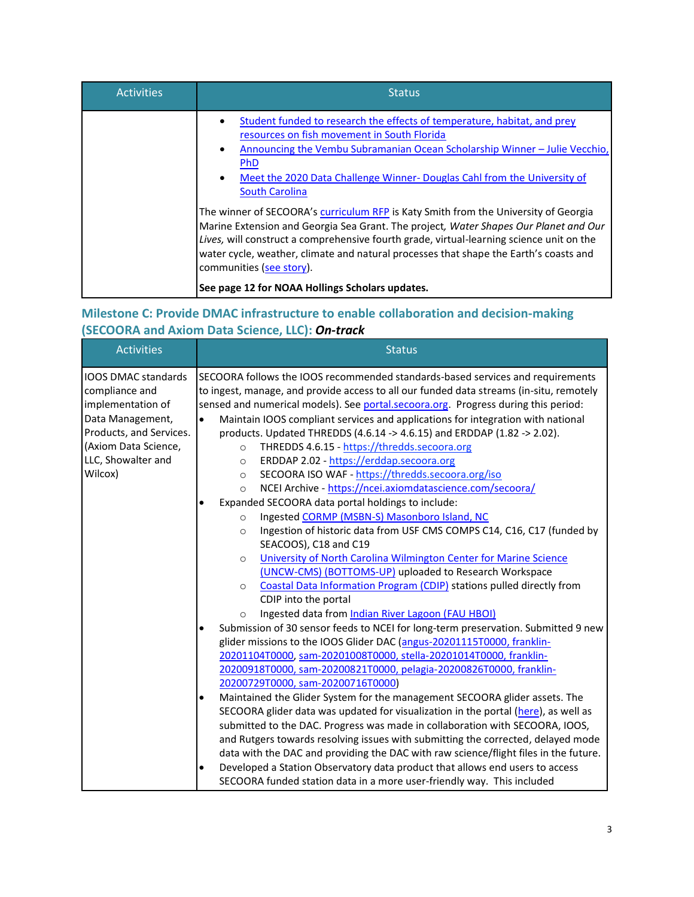| <b>Activities</b> | <b>Status</b>                                                                                                                                                                                                                                                                                                                                                                                |
|-------------------|----------------------------------------------------------------------------------------------------------------------------------------------------------------------------------------------------------------------------------------------------------------------------------------------------------------------------------------------------------------------------------------------|
|                   | Student funded to research the effects of temperature, habitat, and prey<br>resources on fish movement in South Florida<br>Announcing the Vembu Subramanian Ocean Scholarship Winner - Julie Vecchio,<br><b>PhD</b><br>Meet the 2020 Data Challenge Winner- Douglas Cahl from the University of<br>$\bullet$<br><b>South Carolina</b>                                                        |
|                   | The winner of SECOORA's curriculum RFP is Katy Smith from the University of Georgia<br>Marine Extension and Georgia Sea Grant. The project, Water Shapes Our Planet and Our<br>Lives, will construct a comprehensive fourth grade, virtual-learning science unit on the<br>water cycle, weather, climate and natural processes that shape the Earth's coasts and<br>communities (see story). |
|                   | See page 12 for NOAA Hollings Scholars updates.                                                                                                                                                                                                                                                                                                                                              |

## **Milestone C: Provide DMAC infrastructure to enable collaboration and decision-making (SECOORA and Axiom Data Science, LLC):** *On-track*

| <b>Activities</b>                                                                                                                                                         | <b>Status</b>                                                                                                                                                                                                                                                                                                                                                                                                                                                                                                                                                                                                                                                                                                                                                                                                                                                                                                                                                                                                                                                                                                                                                                                                                                                                                                                                                                                                                                                                                                                                                           |  |  |  |  |
|---------------------------------------------------------------------------------------------------------------------------------------------------------------------------|-------------------------------------------------------------------------------------------------------------------------------------------------------------------------------------------------------------------------------------------------------------------------------------------------------------------------------------------------------------------------------------------------------------------------------------------------------------------------------------------------------------------------------------------------------------------------------------------------------------------------------------------------------------------------------------------------------------------------------------------------------------------------------------------------------------------------------------------------------------------------------------------------------------------------------------------------------------------------------------------------------------------------------------------------------------------------------------------------------------------------------------------------------------------------------------------------------------------------------------------------------------------------------------------------------------------------------------------------------------------------------------------------------------------------------------------------------------------------------------------------------------------------------------------------------------------------|--|--|--|--|
| <b>IOOS DMAC standards</b><br>compliance and<br>implementation of<br>Data Management,<br>Products, and Services.<br>(Axiom Data Science,<br>LLC, Showalter and<br>Wilcox) | SECOORA follows the IOOS recommended standards-based services and requirements<br>to ingest, manage, and provide access to all our funded data streams (in-situ, remotely<br>sensed and numerical models). See portal.secoora.org. Progress during this period:<br>Maintain IOOS compliant services and applications for integration with national<br>$\bullet$<br>products. Updated THREDDS (4.6.14 -> 4.6.15) and ERDDAP (1.82 -> 2.02).<br>THREDDS 4.6.15 - https://thredds.secoora.org<br>$\circ$<br>ERDDAP 2.02 - https://erddap.secoora.org<br>$\circ$<br>SECOORA ISO WAF - https://thredds.secoora.org/iso<br>$\circ$<br>NCEI Archive - https://ncei.axiomdatascience.com/secoora/<br>$\circ$<br>Expanded SECOORA data portal holdings to include:<br>Ingested CORMP (MSBN-S) Masonboro Island, NC<br>$\circ$<br>Ingestion of historic data from USF CMS COMPS C14, C16, C17 (funded by<br>$\circ$<br>SEACOOS), C18 and C19<br>University of North Carolina Wilmington Center for Marine Science<br>$\circ$<br>(UNCW-CMS) (BOTTOMS-UP) uploaded to Research Workspace<br>Coastal Data Information Program (CDIP) stations pulled directly from<br>$\circ$<br>CDIP into the portal<br>Ingested data from Indian River Lagoon (FAU HBOI)<br>$\circ$<br>Submission of 30 sensor feeds to NCEI for long-term preservation. Submitted 9 new<br>٠<br>glider missions to the IOOS Glider DAC (angus-20201115T0000, franklin-<br>20201104T0000, sam-20201008T0000, stella-20201014T0000, franklin-<br>20200918T0000, sam-20200821T0000, pelagia-20200826T0000, franklin- |  |  |  |  |
|                                                                                                                                                                           | 20200729T0000, sam-20200716T0000)<br>Maintained the Glider System for the management SECOORA glider assets. The<br>$\bullet$<br>SECOORA glider data was updated for visualization in the portal (here), as well as<br>submitted to the DAC. Progress was made in collaboration with SECOORA, IOOS,<br>and Rutgers towards resolving issues with submitting the corrected, delayed mode<br>data with the DAC and providing the DAC with raw science/flight files in the future.<br>Developed a Station Observatory data product that allows end users to access<br>٠<br>SECOORA funded station data in a more user-friendly way. This included                                                                                                                                                                                                                                                                                                                                                                                                                                                                                                                                                                                                                                                                                                                                                                                                                                                                                                                           |  |  |  |  |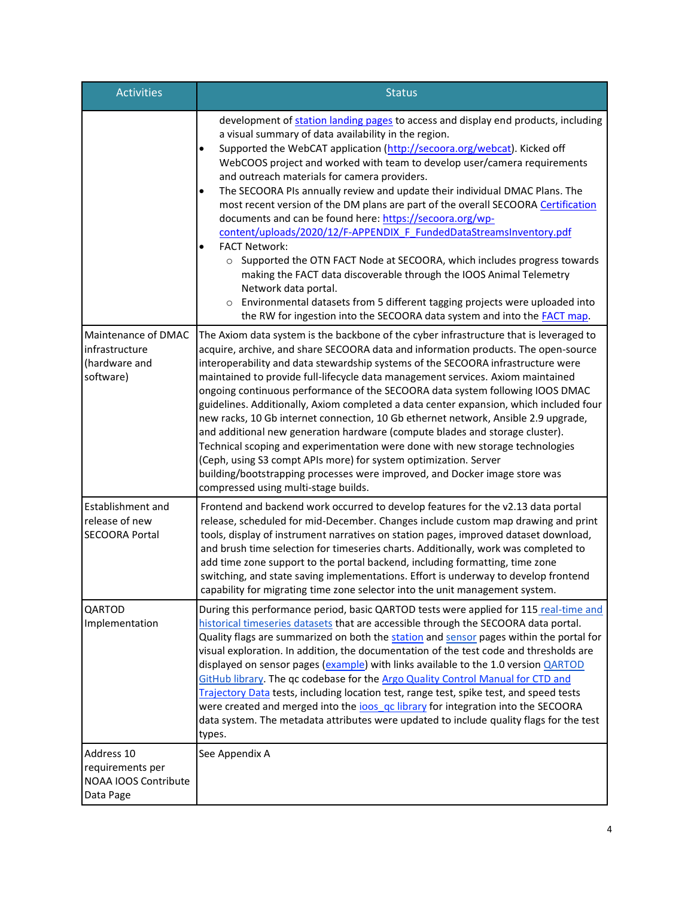| <b>Activities</b>                                                   | <b>Status</b>                                                                                                                                                                                                                                                                                                                                                                                                                                                                                                                                                                                                                                                                                                                                                                                                                                                                                                                                                                                                                                                 |
|---------------------------------------------------------------------|---------------------------------------------------------------------------------------------------------------------------------------------------------------------------------------------------------------------------------------------------------------------------------------------------------------------------------------------------------------------------------------------------------------------------------------------------------------------------------------------------------------------------------------------------------------------------------------------------------------------------------------------------------------------------------------------------------------------------------------------------------------------------------------------------------------------------------------------------------------------------------------------------------------------------------------------------------------------------------------------------------------------------------------------------------------|
|                                                                     | development of station landing pages to access and display end products, including<br>a visual summary of data availability in the region.<br>Supported the WebCAT application (http://secoora.org/webcat). Kicked off<br>WebCOOS project and worked with team to develop user/camera requirements<br>and outreach materials for camera providers.<br>The SECOORA PIs annually review and update their individual DMAC Plans. The<br>$\bullet$<br>most recent version of the DM plans are part of the overall SECOORA Certification<br>documents and can be found here: https://secoora.org/wp-<br>content/uploads/2020/12/F-APPENDIX F FundedDataStreamsInventory.pdf<br><b>FACT Network:</b><br>$\bullet$<br>o Supported the OTN FACT Node at SECOORA, which includes progress towards<br>making the FACT data discoverable through the IOOS Animal Telemetry<br>Network data portal.<br>Environmental datasets from 5 different tagging projects were uploaded into<br>$\circ$<br>the RW for ingestion into the SECOORA data system and into the FACT map. |
| Maintenance of DMAC<br>infrastructure<br>(hardware and<br>software) | The Axiom data system is the backbone of the cyber infrastructure that is leveraged to<br>acquire, archive, and share SECOORA data and information products. The open-source<br>interoperability and data stewardship systems of the SECOORA infrastructure were<br>maintained to provide full-lifecycle data management services. Axiom maintained<br>ongoing continuous performance of the SECOORA data system following IOOS DMAC<br>guidelines. Additionally, Axiom completed a data center expansion, which included four<br>new racks, 10 Gb internet connection, 10 Gb ethernet network, Ansible 2.9 upgrade,<br>and additional new generation hardware (compute blades and storage cluster).<br>Technical scoping and experimentation were done with new storage technologies<br>(Ceph, using S3 compt APIs more) for system optimization. Server<br>building/bootstrapping processes were improved, and Docker image store was<br>compressed using multi-stage builds.                                                                               |
| <b>Establishment and</b><br>release of new<br><b>SECOORA Portal</b> | Frontend and backend work occurred to develop features for the v2.13 data portal<br>release, scheduled for mid-December. Changes include custom map drawing and print<br>tools, display of instrument narratives on station pages, improved dataset download,<br>and brush time selection for timeseries charts. Additionally, work was completed to<br>add time zone support to the portal backend, including formatting, time zone<br>switching, and state saving implementations. Effort is underway to develop frontend<br>capability for migrating time zone selector into the unit management system.                                                                                                                                                                                                                                                                                                                                                                                                                                                   |
| QARTOD<br>Implementation                                            | During this performance period, basic QARTOD tests were applied for 115 real-time and<br>historical timeseries datasets that are accessible through the SECOORA data portal.<br>Quality flags are summarized on both the station and sensor pages within the portal for<br>visual exploration. In addition, the documentation of the test code and thresholds are<br>displayed on sensor pages (example) with links available to the 1.0 version QARTOD<br>GitHub library. The qc codebase for the Argo Quality Control Manual for CTD and<br>Trajectory Data tests, including location test, range test, spike test, and speed tests<br>were created and merged into the joos qc library for integration into the SECOORA<br>data system. The metadata attributes were updated to include quality flags for the test<br>types.                                                                                                                                                                                                                               |
| Address 10<br>requirements per<br>NOAA IOOS Contribute<br>Data Page | See Appendix A                                                                                                                                                                                                                                                                                                                                                                                                                                                                                                                                                                                                                                                                                                                                                                                                                                                                                                                                                                                                                                                |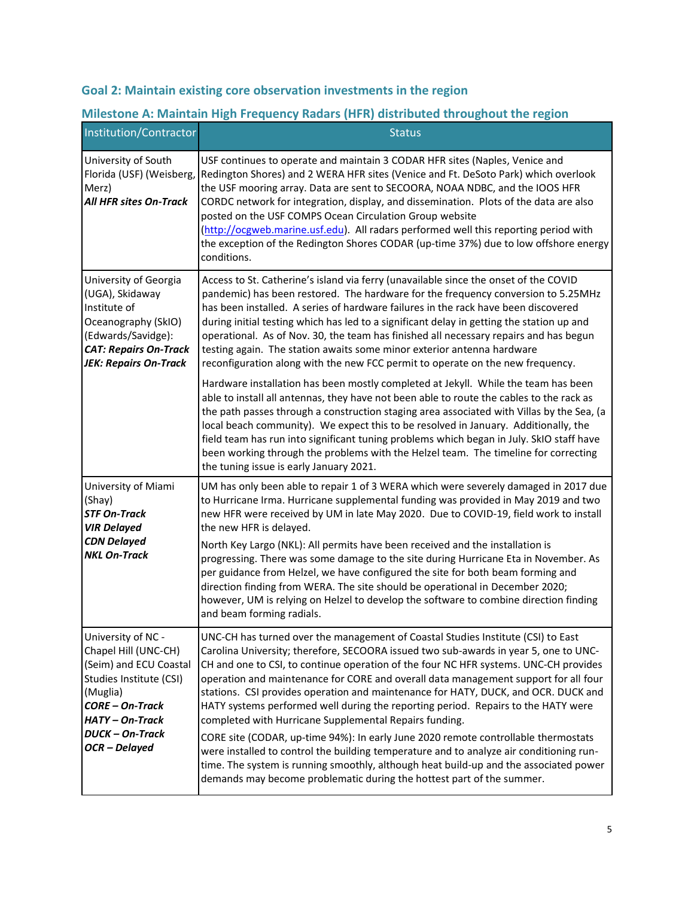# **Goal 2: Maintain existing core observation investments in the region**

| Institution/Contractor                                                                                                                                                                                 | <b>Status</b>                                                                                                                                                                                                                                                                                                                                                                                                                                                                                                                                                                                                                                                                                                                                                                                                                                                                                                                                   |
|--------------------------------------------------------------------------------------------------------------------------------------------------------------------------------------------------------|-------------------------------------------------------------------------------------------------------------------------------------------------------------------------------------------------------------------------------------------------------------------------------------------------------------------------------------------------------------------------------------------------------------------------------------------------------------------------------------------------------------------------------------------------------------------------------------------------------------------------------------------------------------------------------------------------------------------------------------------------------------------------------------------------------------------------------------------------------------------------------------------------------------------------------------------------|
| University of South<br>Florida (USF) (Weisberg,<br>Merz)<br>All HFR sites On-Track                                                                                                                     | USF continues to operate and maintain 3 CODAR HFR sites (Naples, Venice and<br>Redington Shores) and 2 WERA HFR sites (Venice and Ft. DeSoto Park) which overlook<br>the USF mooring array. Data are sent to SECOORA, NOAA NDBC, and the IOOS HFR<br>CORDC network for integration, display, and dissemination. Plots of the data are also<br>posted on the USF COMPS Ocean Circulation Group website<br>(http://ocgweb.marine.usf.edu). All radars performed well this reporting period with<br>the exception of the Redington Shores CODAR (up-time 37%) due to low offshore energy<br>conditions.                                                                                                                                                                                                                                                                                                                                            |
| University of Georgia<br>(UGA), Skidaway<br>Institute of<br>Oceanography (SkIO)<br>(Edwards/Savidge):<br><b>CAT: Repairs On-Track</b><br><b>JEK: Repairs On-Track</b>                                  | Access to St. Catherine's island via ferry (unavailable since the onset of the COVID<br>pandemic) has been restored. The hardware for the frequency conversion to 5.25MHz<br>has been installed. A series of hardware failures in the rack have been discovered<br>during initial testing which has led to a significant delay in getting the station up and<br>operational. As of Nov. 30, the team has finished all necessary repairs and has begun<br>testing again. The station awaits some minor exterior antenna hardware<br>reconfiguration along with the new FCC permit to operate on the new frequency.                                                                                                                                                                                                                                                                                                                               |
|                                                                                                                                                                                                        | Hardware installation has been mostly completed at Jekyll. While the team has been<br>able to install all antennas, they have not been able to route the cables to the rack as<br>the path passes through a construction staging area associated with Villas by the Sea, (a<br>local beach community). We expect this to be resolved in January. Additionally, the<br>field team has run into significant tuning problems which began in July. SkIO staff have<br>been working through the problems with the Helzel team. The timeline for correcting<br>the tuning issue is early January 2021.                                                                                                                                                                                                                                                                                                                                                |
| University of Miami<br>(Shay)<br><b>STF On-Track</b><br><b>VIR Delayed</b><br><b>CDN Delayed</b><br><b>NKL On-Track</b>                                                                                | UM has only been able to repair 1 of 3 WERA which were severely damaged in 2017 due<br>to Hurricane Irma. Hurricane supplemental funding was provided in May 2019 and two<br>new HFR were received by UM in late May 2020. Due to COVID-19, field work to install<br>the new HFR is delayed.                                                                                                                                                                                                                                                                                                                                                                                                                                                                                                                                                                                                                                                    |
|                                                                                                                                                                                                        | North Key Largo (NKL): All permits have been received and the installation is<br>progressing. There was some damage to the site during Hurricane Eta in November. As<br>per guidance from Helzel, we have configured the site for both beam forming and<br>direction finding from WERA. The site should be operational in December 2020;<br>however, UM is relying on Helzel to develop the software to combine direction finding<br>and beam forming radials.                                                                                                                                                                                                                                                                                                                                                                                                                                                                                  |
| University of NC -<br>Chapel Hill (UNC-CH)<br>(Seim) and ECU Coastal<br>Studies Institute (CSI)<br>(Muglia)<br><b>CORE - On-Track</b><br><b>HATY-On-Track</b><br><b>DUCK-On-Track</b><br>OCR – Delayed | UNC-CH has turned over the management of Coastal Studies Institute (CSI) to East<br>Carolina University; therefore, SECOORA issued two sub-awards in year 5, one to UNC-<br>CH and one to CSI, to continue operation of the four NC HFR systems. UNC-CH provides<br>operation and maintenance for CORE and overall data management support for all four<br>stations. CSI provides operation and maintenance for HATY, DUCK, and OCR. DUCK and<br>HATY systems performed well during the reporting period. Repairs to the HATY were<br>completed with Hurricane Supplemental Repairs funding.<br>CORE site (CODAR, up-time 94%): In early June 2020 remote controllable thermostats<br>were installed to control the building temperature and to analyze air conditioning run-<br>time. The system is running smoothly, although heat build-up and the associated power<br>demands may become problematic during the hottest part of the summer. |

## **Milestone A: Maintain High Frequency Radars (HFR) distributed throughout the region**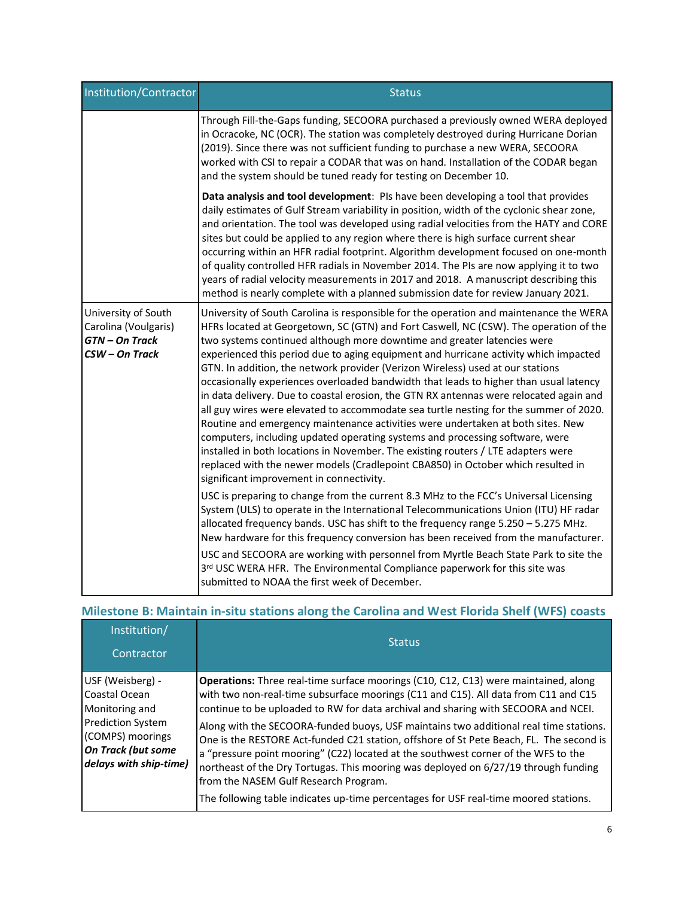| Institution/Contractor                                                             | <b>Status</b>                                                                                                                                                                                                                                                                                                                                                                                                                                                                                                                                                                                                                                                                                                                                                                                                                                                                                                                                                                                                                                                                                                                                                                                                                                                                                                                                                                                                                                                                                                                                                                                                                                                                               |
|------------------------------------------------------------------------------------|---------------------------------------------------------------------------------------------------------------------------------------------------------------------------------------------------------------------------------------------------------------------------------------------------------------------------------------------------------------------------------------------------------------------------------------------------------------------------------------------------------------------------------------------------------------------------------------------------------------------------------------------------------------------------------------------------------------------------------------------------------------------------------------------------------------------------------------------------------------------------------------------------------------------------------------------------------------------------------------------------------------------------------------------------------------------------------------------------------------------------------------------------------------------------------------------------------------------------------------------------------------------------------------------------------------------------------------------------------------------------------------------------------------------------------------------------------------------------------------------------------------------------------------------------------------------------------------------------------------------------------------------------------------------------------------------|
|                                                                                    | Through Fill-the-Gaps funding, SECOORA purchased a previously owned WERA deployed<br>in Ocracoke, NC (OCR). The station was completely destroyed during Hurricane Dorian<br>(2019). Since there was not sufficient funding to purchase a new WERA, SECOORA<br>worked with CSI to repair a CODAR that was on hand. Installation of the CODAR began<br>and the system should be tuned ready for testing on December 10.                                                                                                                                                                                                                                                                                                                                                                                                                                                                                                                                                                                                                                                                                                                                                                                                                                                                                                                                                                                                                                                                                                                                                                                                                                                                       |
|                                                                                    | Data analysis and tool development: PIs have been developing a tool that provides<br>daily estimates of Gulf Stream variability in position, width of the cyclonic shear zone,<br>and orientation. The tool was developed using radial velocities from the HATY and CORE<br>sites but could be applied to any region where there is high surface current shear<br>occurring within an HFR radial footprint. Algorithm development focused on one-month<br>of quality controlled HFR radials in November 2014. The PIs are now applying it to two<br>years of radial velocity measurements in 2017 and 2018. A manuscript describing this<br>method is nearly complete with a planned submission date for review January 2021.                                                                                                                                                                                                                                                                                                                                                                                                                                                                                                                                                                                                                                                                                                                                                                                                                                                                                                                                                               |
| University of South<br>Carolina (Voulgaris)<br><b>GTN-On Track</b><br>CSW-On Track | University of South Carolina is responsible for the operation and maintenance the WERA<br>HFRs located at Georgetown, SC (GTN) and Fort Caswell, NC (CSW). The operation of the<br>two systems continued although more downtime and greater latencies were<br>experienced this period due to aging equipment and hurricane activity which impacted<br>GTN. In addition, the network provider (Verizon Wireless) used at our stations<br>occasionally experiences overloaded bandwidth that leads to higher than usual latency<br>in data delivery. Due to coastal erosion, the GTN RX antennas were relocated again and<br>all guy wires were elevated to accommodate sea turtle nesting for the summer of 2020.<br>Routine and emergency maintenance activities were undertaken at both sites. New<br>computers, including updated operating systems and processing software, were<br>installed in both locations in November. The existing routers / LTE adapters were<br>replaced with the newer models (Cradlepoint CBA850) in October which resulted in<br>significant improvement in connectivity.<br>USC is preparing to change from the current 8.3 MHz to the FCC's Universal Licensing<br>System (ULS) to operate in the International Telecommunications Union (ITU) HF radar<br>allocated frequency bands. USC has shift to the frequency range 5.250 - 5.275 MHz.<br>New hardware for this frequency conversion has been received from the manufacturer.<br>USC and SECOORA are working with personnel from Myrtle Beach State Park to site the<br>3rd USC WERA HFR. The Environmental Compliance paperwork for this site was<br>submitted to NOAA the first week of December. |

# **Milestone B: Maintain in-situ stations along the Carolina and West Florida Shelf (WFS) coasts**

| Institution/<br>Contractor                                                                                                                          | <b>Status</b>                                                                                                                                                                                                                                                                                                                                                                                                                                                                                                                                                                                                                                                                                                                                                      |
|-----------------------------------------------------------------------------------------------------------------------------------------------------|--------------------------------------------------------------------------------------------------------------------------------------------------------------------------------------------------------------------------------------------------------------------------------------------------------------------------------------------------------------------------------------------------------------------------------------------------------------------------------------------------------------------------------------------------------------------------------------------------------------------------------------------------------------------------------------------------------------------------------------------------------------------|
| USF (Weisberg) -<br>Coastal Ocean<br>Monitoring and<br><b>Prediction System</b><br>(COMPS) moorings<br>On Track (but some<br>delays with ship-time) | Operations: Three real-time surface moorings (C10, C12, C13) were maintained, along<br>with two non-real-time subsurface moorings (C11 and C15). All data from C11 and C15<br>continue to be uploaded to RW for data archival and sharing with SECOORA and NCEI.<br>Along with the SECOORA-funded buoys, USF maintains two additional real time stations.<br>One is the RESTORE Act-funded C21 station, offshore of St Pete Beach, FL. The second is<br>a "pressure point mooring" (C22) located at the southwest corner of the WFS to the<br>northeast of the Dry Tortugas. This mooring was deployed on 6/27/19 through funding<br>from the NASEM Gulf Research Program.<br>The following table indicates up-time percentages for USF real-time moored stations. |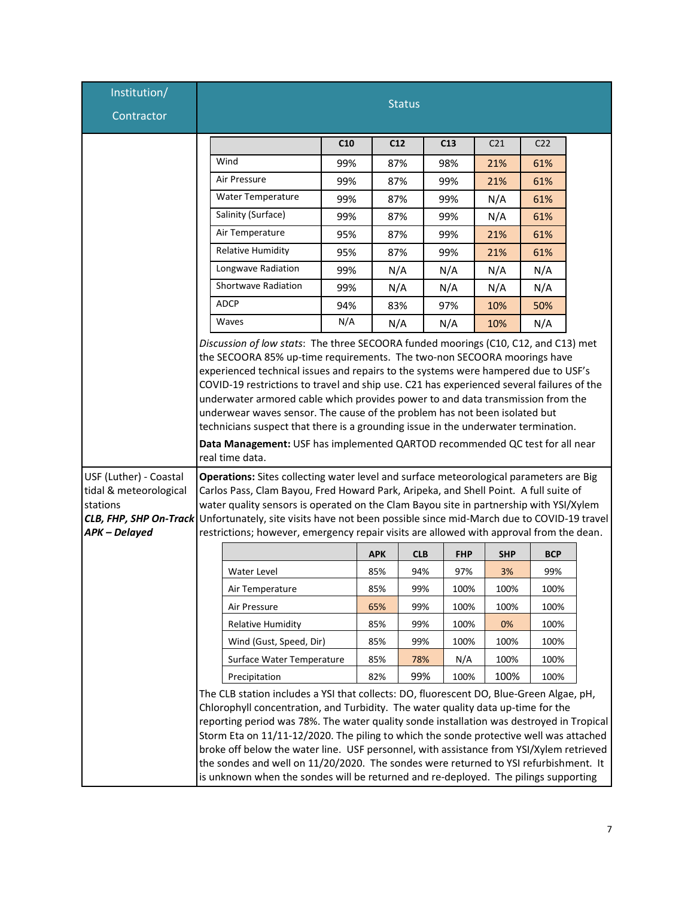| Institution/                                                                                                        |               |                                                                                                                                                                                                                                                                                                                                                                                                                                                                                                                                                                                                                                                                                                                                                                                                                                                                                                                                                                                                                                                                                         |     |            |                 |  |            |                 |                 |  |
|---------------------------------------------------------------------------------------------------------------------|---------------|-----------------------------------------------------------------------------------------------------------------------------------------------------------------------------------------------------------------------------------------------------------------------------------------------------------------------------------------------------------------------------------------------------------------------------------------------------------------------------------------------------------------------------------------------------------------------------------------------------------------------------------------------------------------------------------------------------------------------------------------------------------------------------------------------------------------------------------------------------------------------------------------------------------------------------------------------------------------------------------------------------------------------------------------------------------------------------------------|-----|------------|-----------------|--|------------|-----------------|-----------------|--|
| Contractor                                                                                                          | <b>Status</b> |                                                                                                                                                                                                                                                                                                                                                                                                                                                                                                                                                                                                                                                                                                                                                                                                                                                                                                                                                                                                                                                                                         |     |            |                 |  |            |                 |                 |  |
|                                                                                                                     |               |                                                                                                                                                                                                                                                                                                                                                                                                                                                                                                                                                                                                                                                                                                                                                                                                                                                                                                                                                                                                                                                                                         | C10 |            | C <sub>12</sub> |  | C13        | C <sub>21</sub> | C <sub>22</sub> |  |
|                                                                                                                     |               | Wind                                                                                                                                                                                                                                                                                                                                                                                                                                                                                                                                                                                                                                                                                                                                                                                                                                                                                                                                                                                                                                                                                    | 99% |            | 87%             |  | 98%        | 21%             | 61%             |  |
|                                                                                                                     |               | Air Pressure                                                                                                                                                                                                                                                                                                                                                                                                                                                                                                                                                                                                                                                                                                                                                                                                                                                                                                                                                                                                                                                                            | 99% |            | 87%             |  | 99%        | 21%             | 61%             |  |
|                                                                                                                     |               | Water Temperature                                                                                                                                                                                                                                                                                                                                                                                                                                                                                                                                                                                                                                                                                                                                                                                                                                                                                                                                                                                                                                                                       | 99% |            | 87%             |  | 99%        | N/A             | 61%             |  |
|                                                                                                                     |               | Salinity (Surface)                                                                                                                                                                                                                                                                                                                                                                                                                                                                                                                                                                                                                                                                                                                                                                                                                                                                                                                                                                                                                                                                      | 99% |            | 87%             |  | 99%        | N/A             | 61%             |  |
|                                                                                                                     |               | Air Temperature                                                                                                                                                                                                                                                                                                                                                                                                                                                                                                                                                                                                                                                                                                                                                                                                                                                                                                                                                                                                                                                                         | 95% |            | 87%             |  | 99%        | 21%             | 61%             |  |
|                                                                                                                     |               | <b>Relative Humidity</b>                                                                                                                                                                                                                                                                                                                                                                                                                                                                                                                                                                                                                                                                                                                                                                                                                                                                                                                                                                                                                                                                | 95% |            | 87%             |  | 99%        | 21%             | 61%             |  |
|                                                                                                                     |               | Longwave Radiation                                                                                                                                                                                                                                                                                                                                                                                                                                                                                                                                                                                                                                                                                                                                                                                                                                                                                                                                                                                                                                                                      | 99% |            | N/A             |  | N/A        | N/A             | N/A             |  |
|                                                                                                                     |               | <b>Shortwave Radiation</b>                                                                                                                                                                                                                                                                                                                                                                                                                                                                                                                                                                                                                                                                                                                                                                                                                                                                                                                                                                                                                                                              | 99% |            | N/A             |  | N/A        | N/A             | N/A             |  |
|                                                                                                                     |               | <b>ADCP</b>                                                                                                                                                                                                                                                                                                                                                                                                                                                                                                                                                                                                                                                                                                                                                                                                                                                                                                                                                                                                                                                                             | 94% |            | 83%             |  | 97%        | 10%             | 50%             |  |
|                                                                                                                     |               | Waves                                                                                                                                                                                                                                                                                                                                                                                                                                                                                                                                                                                                                                                                                                                                                                                                                                                                                                                                                                                                                                                                                   | N/A |            | N/A             |  | N/A        | 10%             | N/A             |  |
| USF (Luther) - Coastal<br>tidal & meteorological<br>stations<br><b>CLB, FHP, SHP On-Track</b><br><b>APK-Delayed</b> |               | the SECOORA 85% up-time requirements. The two-non SECOORA moorings have<br>experienced technical issues and repairs to the systems were hampered due to USF's<br>COVID-19 restrictions to travel and ship use. C21 has experienced several failures of the<br>underwater armored cable which provides power to and data transmission from the<br>underwear waves sensor. The cause of the problem has not been isolated but<br>technicians suspect that there is a grounding issue in the underwater termination.<br>Data Management: USF has implemented QARTOD recommended QC test for all near<br>real time data.<br>Operations: Sites collecting water level and surface meteorological parameters are Big<br>Carlos Pass, Clam Bayou, Fred Howard Park, Aripeka, and Shell Point. A full suite of<br>water quality sensors is operated on the Clam Bayou site in partnership with YSI/Xylem<br>Unfortunately, site visits have not been possible since mid-March due to COVID-19 travel<br>restrictions; however, emergency repair visits are allowed with approval from the dean. |     |            |                 |  |            |                 |                 |  |
|                                                                                                                     |               |                                                                                                                                                                                                                                                                                                                                                                                                                                                                                                                                                                                                                                                                                                                                                                                                                                                                                                                                                                                                                                                                                         |     | <b>APK</b> | <b>CLB</b>      |  | <b>FHP</b> | <b>SHP</b>      | <b>BCP</b>      |  |
|                                                                                                                     |               | <b>Water Level</b>                                                                                                                                                                                                                                                                                                                                                                                                                                                                                                                                                                                                                                                                                                                                                                                                                                                                                                                                                                                                                                                                      |     | 85%        | 94%             |  | 97%        | 3%              | 99%             |  |
|                                                                                                                     |               | Air Temperature                                                                                                                                                                                                                                                                                                                                                                                                                                                                                                                                                                                                                                                                                                                                                                                                                                                                                                                                                                                                                                                                         |     | 85%        | 99%             |  | 100%       | 100%            | 100%            |  |
|                                                                                                                     |               | Air Pressure                                                                                                                                                                                                                                                                                                                                                                                                                                                                                                                                                                                                                                                                                                                                                                                                                                                                                                                                                                                                                                                                            |     | 65%        | 99%             |  | 100%       | 100%            | 100%            |  |
|                                                                                                                     |               | <b>Relative Humidity</b>                                                                                                                                                                                                                                                                                                                                                                                                                                                                                                                                                                                                                                                                                                                                                                                                                                                                                                                                                                                                                                                                |     | 85%        | 99%             |  | 100%       | 0%              | 100%            |  |
|                                                                                                                     |               | Wind (Gust, Speed, Dir)                                                                                                                                                                                                                                                                                                                                                                                                                                                                                                                                                                                                                                                                                                                                                                                                                                                                                                                                                                                                                                                                 |     | 85%        | 99%             |  | 100%       | 100%            | 100%            |  |
|                                                                                                                     |               | Surface Water Temperature                                                                                                                                                                                                                                                                                                                                                                                                                                                                                                                                                                                                                                                                                                                                                                                                                                                                                                                                                                                                                                                               |     | 85%        | 78%             |  | N/A        | 100%            | 100%            |  |
|                                                                                                                     |               | Precipitation<br>The CLB station includes a YSI that collects: DO, fluorescent DO, Blue-Green Algae, pH,<br>Chlorophyll concentration, and Turbidity. The water quality data up-time for the<br>reporting period was 78%. The water quality sonde installation was destroyed in Tropical<br>Storm Eta on 11/11-12/2020. The piling to which the sonde protective well was attached<br>broke off below the water line. USF personnel, with assistance from YSI/Xylem retrieved<br>the sondes and well on 11/20/2020. The sondes were returned to YSI refurbishment. It<br>is unknown when the sondes will be returned and re-deployed. The pilings supporting                                                                                                                                                                                                                                                                                                                                                                                                                            |     | 82%        | 99%             |  | 100%       | 100%            | 100%            |  |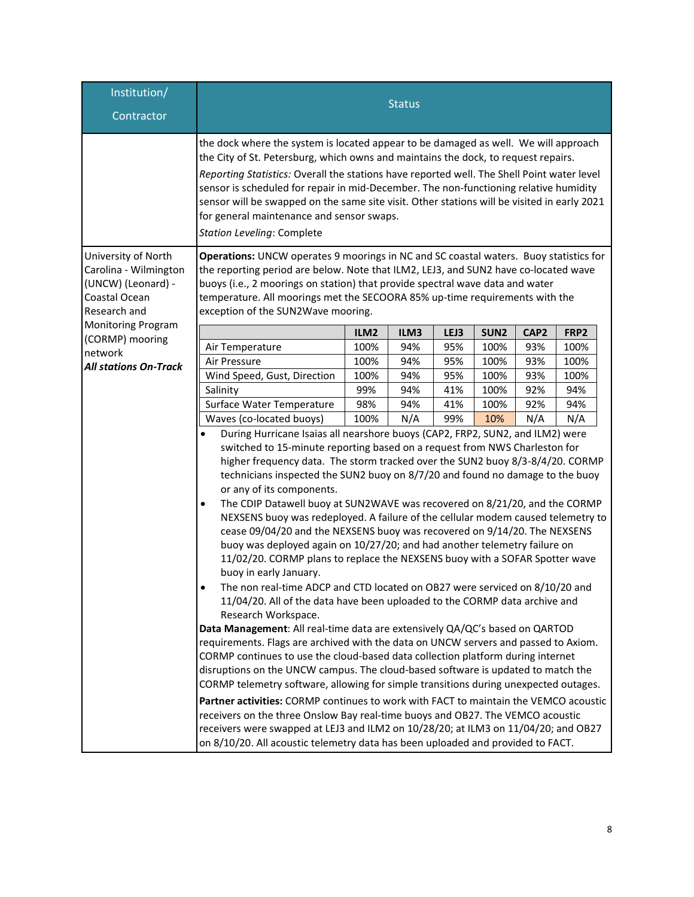| Institution/<br>Contractor                                                   | <b>Status</b>                                                                                                                                                                                                                                                                                                                                                                                                                                                                                                                                                                                                                                                                                                                                                                                                                                                                                                                                                                                                                                                                                                                                                                                                                                                                                                                                                                                                                                                                                                                                                                                                                                                                                                                                                                            |              |            |            |                  |                  |             |  |  |
|------------------------------------------------------------------------------|------------------------------------------------------------------------------------------------------------------------------------------------------------------------------------------------------------------------------------------------------------------------------------------------------------------------------------------------------------------------------------------------------------------------------------------------------------------------------------------------------------------------------------------------------------------------------------------------------------------------------------------------------------------------------------------------------------------------------------------------------------------------------------------------------------------------------------------------------------------------------------------------------------------------------------------------------------------------------------------------------------------------------------------------------------------------------------------------------------------------------------------------------------------------------------------------------------------------------------------------------------------------------------------------------------------------------------------------------------------------------------------------------------------------------------------------------------------------------------------------------------------------------------------------------------------------------------------------------------------------------------------------------------------------------------------------------------------------------------------------------------------------------------------|--------------|------------|------------|------------------|------------------|-------------|--|--|
| University of North                                                          | the dock where the system is located appear to be damaged as well. We will approach<br>the City of St. Petersburg, which owns and maintains the dock, to request repairs.<br>Reporting Statistics: Overall the stations have reported well. The Shell Point water level<br>sensor is scheduled for repair in mid-December. The non-functioning relative humidity<br>sensor will be swapped on the same site visit. Other stations will be visited in early 2021<br>for general maintenance and sensor swaps.<br><b>Station Leveling: Complete</b><br>Operations: UNCW operates 9 moorings in NC and SC coastal waters. Buoy statistics for                                                                                                                                                                                                                                                                                                                                                                                                                                                                                                                                                                                                                                                                                                                                                                                                                                                                                                                                                                                                                                                                                                                                               |              |            |            |                  |                  |             |  |  |
| Carolina - Wilmington<br>(UNCW) (Leonard) -<br>Coastal Ocean<br>Research and | the reporting period are below. Note that ILM2, LEJ3, and SUN2 have co-located wave<br>buoys (i.e., 2 moorings on station) that provide spectral wave data and water<br>temperature. All moorings met the SECOORA 85% up-time requirements with the                                                                                                                                                                                                                                                                                                                                                                                                                                                                                                                                                                                                                                                                                                                                                                                                                                                                                                                                                                                                                                                                                                                                                                                                                                                                                                                                                                                                                                                                                                                                      |              |            |            |                  |                  |             |  |  |
| <b>Monitoring Program</b>                                                    | exception of the SUN2Wave mooring.                                                                                                                                                                                                                                                                                                                                                                                                                                                                                                                                                                                                                                                                                                                                                                                                                                                                                                                                                                                                                                                                                                                                                                                                                                                                                                                                                                                                                                                                                                                                                                                                                                                                                                                                                       |              |            |            |                  |                  |             |  |  |
| (CORMP) mooring                                                              |                                                                                                                                                                                                                                                                                                                                                                                                                                                                                                                                                                                                                                                                                                                                                                                                                                                                                                                                                                                                                                                                                                                                                                                                                                                                                                                                                                                                                                                                                                                                                                                                                                                                                                                                                                                          | ILM2         | ILM3       | LEJ3       | SUN <sub>2</sub> | CAP <sub>2</sub> | FRP2        |  |  |
| network                                                                      | Air Temperature                                                                                                                                                                                                                                                                                                                                                                                                                                                                                                                                                                                                                                                                                                                                                                                                                                                                                                                                                                                                                                                                                                                                                                                                                                                                                                                                                                                                                                                                                                                                                                                                                                                                                                                                                                          | 100%         | 94%        | 95%        | 100%             | 93%              | 100%        |  |  |
| <b>All stations On-Track</b>                                                 | Air Pressure                                                                                                                                                                                                                                                                                                                                                                                                                                                                                                                                                                                                                                                                                                                                                                                                                                                                                                                                                                                                                                                                                                                                                                                                                                                                                                                                                                                                                                                                                                                                                                                                                                                                                                                                                                             | 100%<br>100% | 94%        | 95%<br>95% | 100%<br>100%     | 93%<br>93%       | 100%        |  |  |
|                                                                              | Wind Speed, Gust, Direction<br>Salinity                                                                                                                                                                                                                                                                                                                                                                                                                                                                                                                                                                                                                                                                                                                                                                                                                                                                                                                                                                                                                                                                                                                                                                                                                                                                                                                                                                                                                                                                                                                                                                                                                                                                                                                                                  | 99%          | 94%<br>94% | 41%        | 100%             | 92%              | 100%<br>94% |  |  |
|                                                                              | Surface Water Temperature                                                                                                                                                                                                                                                                                                                                                                                                                                                                                                                                                                                                                                                                                                                                                                                                                                                                                                                                                                                                                                                                                                                                                                                                                                                                                                                                                                                                                                                                                                                                                                                                                                                                                                                                                                | 98%          | 94%        | 41%        | 100%             | 92%              | 94%         |  |  |
|                                                                              | Waves (co-located buoys)                                                                                                                                                                                                                                                                                                                                                                                                                                                                                                                                                                                                                                                                                                                                                                                                                                                                                                                                                                                                                                                                                                                                                                                                                                                                                                                                                                                                                                                                                                                                                                                                                                                                                                                                                                 | 100%         | N/A        | 99%        | 10%              | N/A              | N/A         |  |  |
|                                                                              | During Hurricane Isaias all nearshore buoys (CAP2, FRP2, SUN2, and ILM2) were<br>switched to 15-minute reporting based on a request from NWS Charleston for<br>higher frequency data. The storm tracked over the SUN2 buoy 8/3-8/4/20. CORMP<br>technicians inspected the SUN2 buoy on 8/7/20 and found no damage to the buoy<br>or any of its components.<br>The CDIP Datawell buoy at SUN2WAVE was recovered on 8/21/20, and the CORMP<br>$\bullet$<br>NEXSENS buoy was redeployed. A failure of the cellular modem caused telemetry to<br>cease 09/04/20 and the NEXSENS buoy was recovered on 9/14/20. The NEXSENS<br>buoy was deployed again on 10/27/20; and had another telemetry failure on<br>11/02/20. CORMP plans to replace the NEXSENS buoy with a SOFAR Spotter wave<br>buoy in early January.<br>The non real-time ADCP and CTD located on OB27 were serviced on 8/10/20 and<br>11/04/20. All of the data have been uploaded to the CORMP data archive and<br>Research Workspace.<br>Data Management: All real-time data are extensively QA/QC's based on QARTOD<br>requirements. Flags are archived with the data on UNCW servers and passed to Axiom.<br>CORMP continues to use the cloud-based data collection platform during internet<br>disruptions on the UNCW campus. The cloud-based software is updated to match the<br>CORMP telemetry software, allowing for simple transitions during unexpected outages.<br>Partner activities: CORMP continues to work with FACT to maintain the VEMCO acoustic<br>receivers on the three Onslow Bay real-time buoys and OB27. The VEMCO acoustic<br>receivers were swapped at LEJ3 and ILM2 on 10/28/20; at ILM3 on 11/04/20; and OB27<br>on 8/10/20. All acoustic telemetry data has been uploaded and provided to FACT. |              |            |            |                  |                  |             |  |  |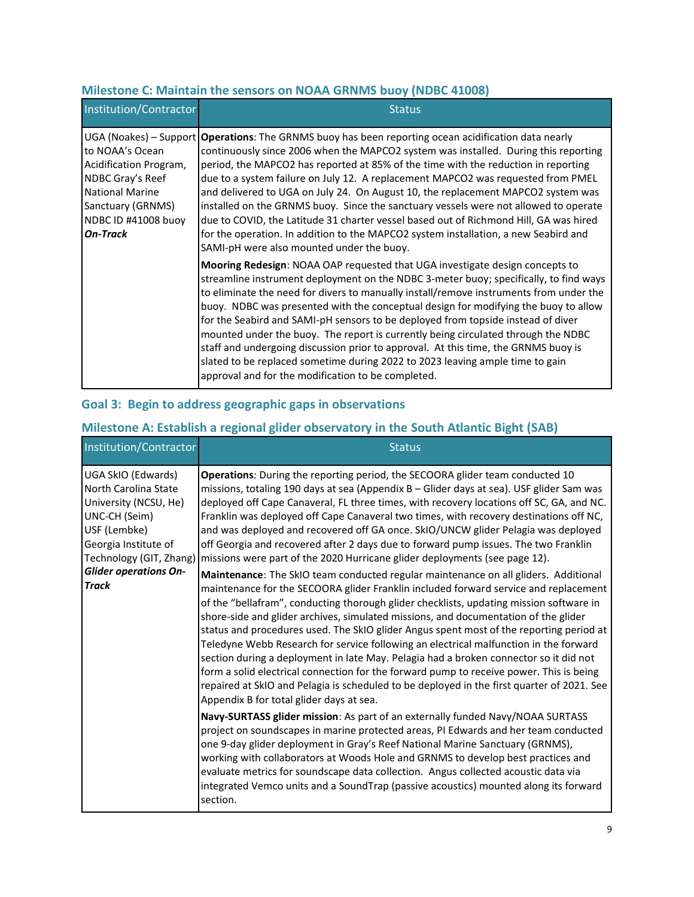## **Milestone C: Maintain the sensors on NOAA GRNMS buoy (NDBC 41008)**

| Institution/Contractor                                                                                                                                                           | <b>Status</b>                                                                                                                                                                                                                                                                                                                                                                                                                                                                                                                                                                                                                                                                                                                                                  |
|----------------------------------------------------------------------------------------------------------------------------------------------------------------------------------|----------------------------------------------------------------------------------------------------------------------------------------------------------------------------------------------------------------------------------------------------------------------------------------------------------------------------------------------------------------------------------------------------------------------------------------------------------------------------------------------------------------------------------------------------------------------------------------------------------------------------------------------------------------------------------------------------------------------------------------------------------------|
| UGA (Noakes) – Support<br>to NOAA's Ocean<br>Acidification Program,<br>NDBC Gray's Reef<br><b>National Marine</b><br>Sanctuary (GRNMS)<br>NDBC ID #41008 buoy<br><b>On-Track</b> | <b>Operations:</b> The GRNMS buoy has been reporting ocean acidification data nearly<br>continuously since 2006 when the MAPCO2 system was installed. During this reporting<br>period, the MAPCO2 has reported at 85% of the time with the reduction in reporting<br>due to a system failure on July 12. A replacement MAPCO2 was requested from PMEL<br>and delivered to UGA on July 24. On August 10, the replacement MAPCO2 system was<br>installed on the GRNMS buoy. Since the sanctuary vessels were not allowed to operate<br>due to COVID, the Latitude 31 charter vessel based out of Richmond Hill, GA was hired<br>for the operation. In addition to the MAPCO2 system installation, a new Seabird and<br>SAMI-pH were also mounted under the buoy. |
|                                                                                                                                                                                  | Mooring Redesign: NOAA OAP requested that UGA investigate design concepts to<br>streamline instrument deployment on the NDBC 3-meter buoy; specifically, to find ways<br>to eliminate the need for divers to manually install/remove instruments from under the<br>buoy. NDBC was presented with the conceptual design for modifying the buoy to allow<br>for the Seabird and SAMI-pH sensors to be deployed from topside instead of diver<br>mounted under the buoy. The report is currently being circulated through the NDBC<br>staff and undergoing discussion prior to approval. At this time, the GRNMS buoy is<br>slated to be replaced sometime during 2022 to 2023 leaving ample time to gain<br>approval and for the modification to be completed.   |

## **Goal 3: Begin to address geographic gaps in observations**

## **Milestone A: Establish a regional glider observatory in the South Atlantic Bight (SAB)**

| Institution/Contractor                                                                                                                                                                                  | <b>Status</b>                                                                                                                                                                                                                                                                                                                                                                                                                                                                                                                                                                                                                                                                                                                                                                                                                                                                                                                                                                                                                                                                                                                                                                                                                                                                                                                                                                                                                                                                                                |
|---------------------------------------------------------------------------------------------------------------------------------------------------------------------------------------------------------|--------------------------------------------------------------------------------------------------------------------------------------------------------------------------------------------------------------------------------------------------------------------------------------------------------------------------------------------------------------------------------------------------------------------------------------------------------------------------------------------------------------------------------------------------------------------------------------------------------------------------------------------------------------------------------------------------------------------------------------------------------------------------------------------------------------------------------------------------------------------------------------------------------------------------------------------------------------------------------------------------------------------------------------------------------------------------------------------------------------------------------------------------------------------------------------------------------------------------------------------------------------------------------------------------------------------------------------------------------------------------------------------------------------------------------------------------------------------------------------------------------------|
| UGA SkIO (Edwards)<br>North Carolina State<br>University (NCSU, He)<br>UNC-CH (Seim)<br>USF (Lembke)<br>Georgia Institute of<br>Technology (GIT, Zhang)<br><b>Glider operations On-</b><br><b>Track</b> | Operations: During the reporting period, the SECOORA glider team conducted 10<br>missions, totaling 190 days at sea (Appendix B - Glider days at sea). USF glider Sam was<br>deployed off Cape Canaveral, FL three times, with recovery locations off SC, GA, and NC.<br>Franklin was deployed off Cape Canaveral two times, with recovery destinations off NC,<br>and was deployed and recovered off GA once. SkIO/UNCW glider Pelagia was deployed<br>off Georgia and recovered after 2 days due to forward pump issues. The two Franklin<br>missions were part of the 2020 Hurricane glider deployments (see page 12).<br>Maintenance: The SkIO team conducted regular maintenance on all gliders. Additional<br>maintenance for the SECOORA glider Franklin included forward service and replacement<br>of the "bellafram", conducting thorough glider checklists, updating mission software in<br>shore-side and glider archives, simulated missions, and documentation of the glider<br>status and procedures used. The SkIO glider Angus spent most of the reporting period at<br>Teledyne Webb Research for service following an electrical malfunction in the forward<br>section during a deployment in late May. Pelagia had a broken connector so it did not<br>form a solid electrical connection for the forward pump to receive power. This is being<br>repaired at SkIO and Pelagia is scheduled to be deployed in the first quarter of 2021. See<br>Appendix B for total glider days at sea. |
|                                                                                                                                                                                                         | Navy-SURTASS glider mission: As part of an externally funded Navy/NOAA SURTASS<br>project on soundscapes in marine protected areas, PI Edwards and her team conducted<br>one 9-day glider deployment in Gray's Reef National Marine Sanctuary (GRNMS),<br>working with collaborators at Woods Hole and GRNMS to develop best practices and<br>evaluate metrics for soundscape data collection. Angus collected acoustic data via<br>integrated Vemco units and a SoundTrap (passive acoustics) mounted along its forward<br>section.                                                                                                                                                                                                                                                                                                                                                                                                                                                                                                                                                                                                                                                                                                                                                                                                                                                                                                                                                                         |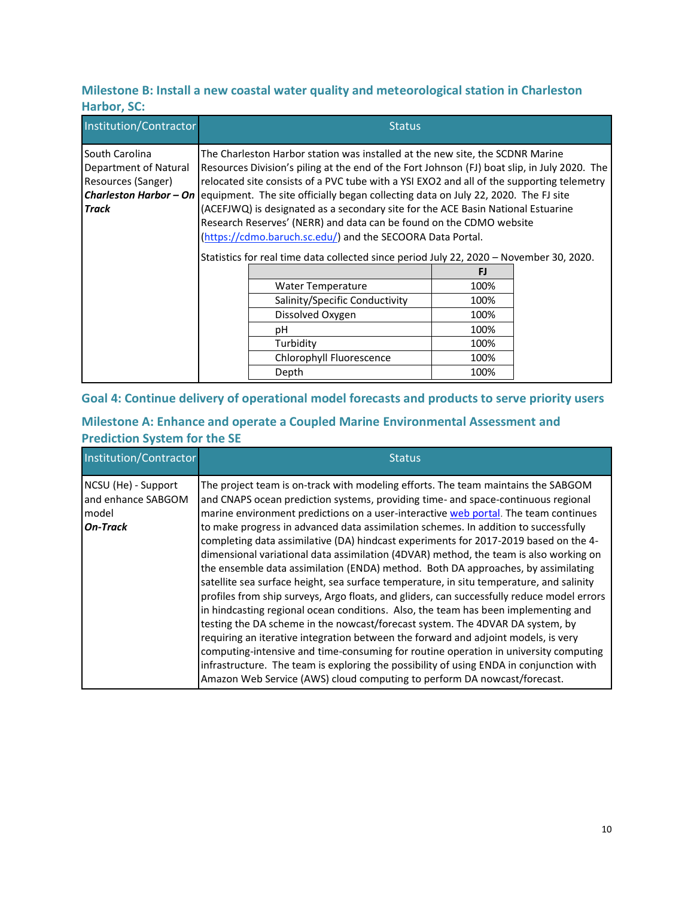## **Milestone B: Install a new coastal water quality and meteorological station in Charleston Harbor, SC:**

| Institution/Contractor                                                                                  |                                                                                                                                                                                                                                                                                                                                                                                                                                                                                                                                                                                                                                                                                      | <b>Status</b>                  |      |  |
|---------------------------------------------------------------------------------------------------------|--------------------------------------------------------------------------------------------------------------------------------------------------------------------------------------------------------------------------------------------------------------------------------------------------------------------------------------------------------------------------------------------------------------------------------------------------------------------------------------------------------------------------------------------------------------------------------------------------------------------------------------------------------------------------------------|--------------------------------|------|--|
| South Carolina<br>Department of Natural<br>Resources (Sanger)<br>Charleston Harbor – On<br><b>Track</b> | The Charleston Harbor station was installed at the new site, the SCDNR Marine<br>Resources Division's piling at the end of the Fort Johnson (FJ) boat slip, in July 2020. The<br>relocated site consists of a PVC tube with a YSI EXO2 and all of the supporting telemetry<br>equipment. The site officially began collecting data on July 22, 2020. The FJ site<br>(ACEFJWQ) is designated as a secondary site for the ACE Basin National Estuarine<br>Research Reserves' (NERR) and data can be found on the CDMO website<br>(https://cdmo.baruch.sc.edu/) and the SECOORA Data Portal.<br>Statistics for real time data collected since period July 22, 2020 – November 30, 2020. |                                |      |  |
|                                                                                                         |                                                                                                                                                                                                                                                                                                                                                                                                                                                                                                                                                                                                                                                                                      |                                | FJ   |  |
|                                                                                                         |                                                                                                                                                                                                                                                                                                                                                                                                                                                                                                                                                                                                                                                                                      | <b>Water Temperature</b>       | 100% |  |
|                                                                                                         |                                                                                                                                                                                                                                                                                                                                                                                                                                                                                                                                                                                                                                                                                      | Salinity/Specific Conductivity | 100% |  |
|                                                                                                         |                                                                                                                                                                                                                                                                                                                                                                                                                                                                                                                                                                                                                                                                                      | Dissolved Oxygen               | 100% |  |
|                                                                                                         |                                                                                                                                                                                                                                                                                                                                                                                                                                                                                                                                                                                                                                                                                      | рH                             | 100% |  |
|                                                                                                         |                                                                                                                                                                                                                                                                                                                                                                                                                                                                                                                                                                                                                                                                                      | Turbidity                      | 100% |  |
|                                                                                                         |                                                                                                                                                                                                                                                                                                                                                                                                                                                                                                                                                                                                                                                                                      | Chlorophyll Fluorescence       | 100% |  |
|                                                                                                         |                                                                                                                                                                                                                                                                                                                                                                                                                                                                                                                                                                                                                                                                                      | Depth                          | 100% |  |

### **Goal 4: Continue delivery of operational model forecasts and products to serve priority users**

| Institution/Contractor                                                | <b>Status</b>                                                                                                                                                                                                                                                                                                                                                                                                                                                                                                                                                                                                                                                                                                                                                                                                                                                                                                                                                                                                                                                                                                                                                                                                                                                                                                                                    |
|-----------------------------------------------------------------------|--------------------------------------------------------------------------------------------------------------------------------------------------------------------------------------------------------------------------------------------------------------------------------------------------------------------------------------------------------------------------------------------------------------------------------------------------------------------------------------------------------------------------------------------------------------------------------------------------------------------------------------------------------------------------------------------------------------------------------------------------------------------------------------------------------------------------------------------------------------------------------------------------------------------------------------------------------------------------------------------------------------------------------------------------------------------------------------------------------------------------------------------------------------------------------------------------------------------------------------------------------------------------------------------------------------------------------------------------|
| NCSU (He) - Support<br>and enhance SABGOM<br>model<br><b>On-Track</b> | The project team is on-track with modeling efforts. The team maintains the SABGOM<br>and CNAPS ocean prediction systems, providing time- and space-continuous regional<br>marine environment predictions on a user-interactive web portal. The team continues<br>to make progress in advanced data assimilation schemes. In addition to successfully<br>completing data assimilative (DA) hindcast experiments for 2017-2019 based on the 4-<br>dimensional variational data assimilation (4DVAR) method, the team is also working on<br>the ensemble data assimilation (ENDA) method. Both DA approaches, by assimilating<br>satellite sea surface height, sea surface temperature, in situ temperature, and salinity<br>profiles from ship surveys, Argo floats, and gliders, can successfully reduce model errors<br>in hindcasting regional ocean conditions. Also, the team has been implementing and<br>testing the DA scheme in the nowcast/forecast system. The 4DVAR DA system, by<br>requiring an iterative integration between the forward and adjoint models, is very<br>computing-intensive and time-consuming for routine operation in university computing<br>infrastructure. The team is exploring the possibility of using ENDA in conjunction with<br>Amazon Web Service (AWS) cloud computing to perform DA nowcast/forecast. |

## **Milestone A: Enhance and operate a Coupled Marine Environmental Assessment and Prediction System for the SE**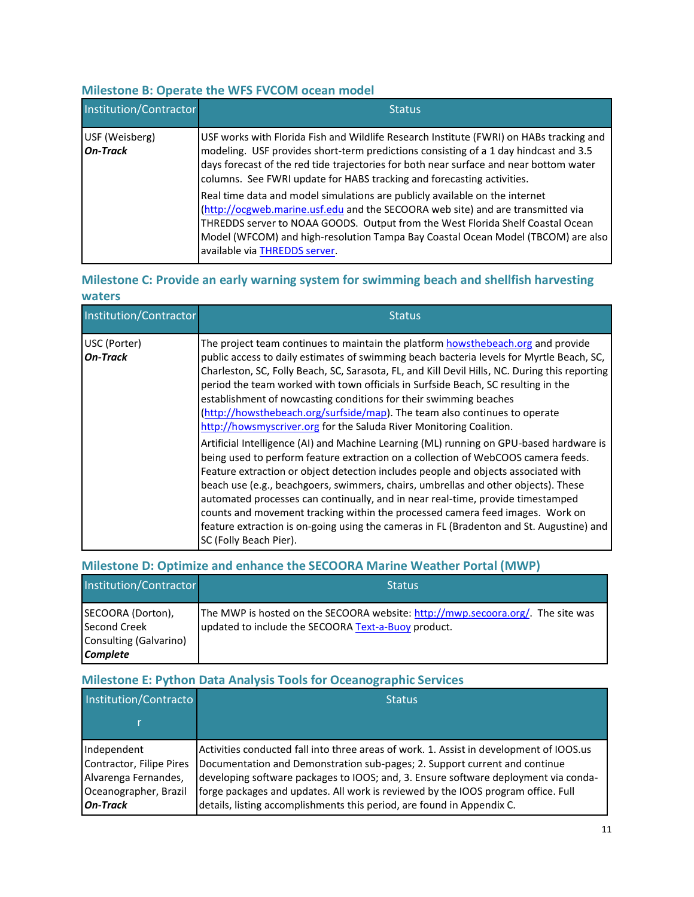## **Milestone B: Operate the WFS FVCOM ocean model**

| Institution/Contractor            | <b>Status</b>                                                                                                                                                                                                                                                                                                                                                         |
|-----------------------------------|-----------------------------------------------------------------------------------------------------------------------------------------------------------------------------------------------------------------------------------------------------------------------------------------------------------------------------------------------------------------------|
| USF (Weisberg)<br><b>On-Track</b> | USF works with Florida Fish and Wildlife Research Institute (FWRI) on HABs tracking and<br>modeling. USF provides short-term predictions consisting of a 1 day hindcast and 3.5<br>days forecast of the red tide trajectories for both near surface and near bottom water<br>columns. See FWRI update for HABS tracking and forecasting activities.                   |
|                                   | Real time data and model simulations are publicly available on the internet<br>(http://ocgweb.marine.usf.edu and the SECOORA web site) and are transmitted via<br>THREDDS server to NOAA GOODS. Output from the West Florida Shelf Coastal Ocean<br>Model (WFCOM) and high-resolution Tampa Bay Coastal Ocean Model (TBCOM) are also<br>available via THREDDS server. |

## **Milestone C: Provide an early warning system for swimming beach and shellfish harvesting waters**

| Institution/Contractor          | <b>Status</b>                                                                                                                                                                                                                                                                                                                                                                                                                                                                                                                                                                                                                                      |
|---------------------------------|----------------------------------------------------------------------------------------------------------------------------------------------------------------------------------------------------------------------------------------------------------------------------------------------------------------------------------------------------------------------------------------------------------------------------------------------------------------------------------------------------------------------------------------------------------------------------------------------------------------------------------------------------|
| USC (Porter)<br><b>On-Track</b> | The project team continues to maintain the platform howsthebeach.org and provide<br>public access to daily estimates of swimming beach bacteria levels for Myrtle Beach, SC,<br>Charleston, SC, Folly Beach, SC, Sarasota, FL, and Kill Devil Hills, NC. During this reporting<br>period the team worked with town officials in Surfside Beach, SC resulting in the<br>establishment of nowcasting conditions for their swimming beaches<br>(http://howsthebeach.org/surfside/map). The team also continues to operate<br>http://howsmyscriver.org for the Saluda River Monitoring Coalition.                                                      |
|                                 | Artificial Intelligence (AI) and Machine Learning (ML) running on GPU-based hardware is<br>being used to perform feature extraction on a collection of WebCOOS camera feeds.<br>Feature extraction or object detection includes people and objects associated with<br>beach use (e.g., beachgoers, swimmers, chairs, umbrellas and other objects). These<br>automated processes can continually, and in near real-time, provide timestamped<br>counts and movement tracking within the processed camera feed images. Work on<br>feature extraction is on-going using the cameras in FL (Bradenton and St. Augustine) and<br>SC (Folly Beach Pier). |

## **Milestone D: Optimize and enhance the SECOORA Marine Weather Portal (MWP)**

| Institution/Contractor                                                         | <b>Status</b>                                                                                                                          |
|--------------------------------------------------------------------------------|----------------------------------------------------------------------------------------------------------------------------------------|
| SECOORA (Dorton),<br><b>Second Creek</b><br>Consulting (Galvarino)<br>Complete | The MWP is hosted on the SECOORA website: http://mwp.secoora.org/. The site was<br>updated to include the SECOORA Text-a-Buoy product. |

## **Milestone E: Python Data Analysis Tools for Oceanographic Services**

| Institution/Contracto                                                                                       | <b>Status</b>                                                                                                                                                                                                                                                                                                                                                                                                               |
|-------------------------------------------------------------------------------------------------------------|-----------------------------------------------------------------------------------------------------------------------------------------------------------------------------------------------------------------------------------------------------------------------------------------------------------------------------------------------------------------------------------------------------------------------------|
|                                                                                                             |                                                                                                                                                                                                                                                                                                                                                                                                                             |
| Independent<br>Contractor, Filipe Pires<br>Alvarenga Fernandes,<br>Oceanographer, Brazil<br><b>On-Track</b> | Activities conducted fall into three areas of work. 1. Assist in development of IOOS.us<br>Documentation and Demonstration sub-pages; 2. Support current and continue<br>developing software packages to IOOS; and, 3. Ensure software deployment via conda-<br>forge packages and updates. All work is reviewed by the IOOS program office. Full<br>details, listing accomplishments this period, are found in Appendix C. |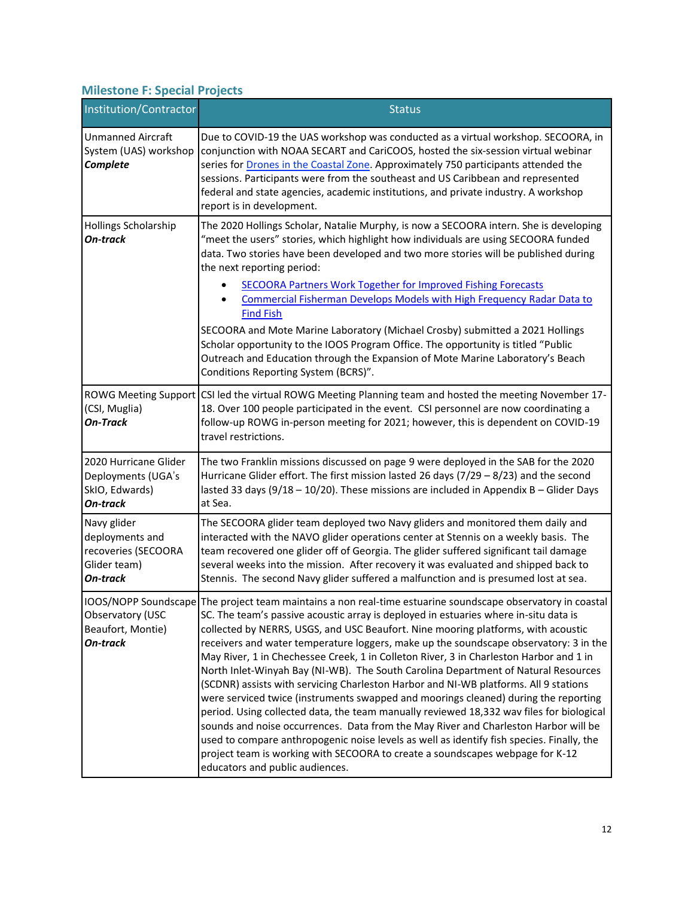## **Milestone F: Special Projects**

| Institution/Contractor                                                            | <b>Status</b>                                                                                                                                                                                                                                                                                                                                                                                                                                                                                                                                                                                                                                                                                                                                                                                                                                                                                                                                                                                                                                                                                                                                        |
|-----------------------------------------------------------------------------------|------------------------------------------------------------------------------------------------------------------------------------------------------------------------------------------------------------------------------------------------------------------------------------------------------------------------------------------------------------------------------------------------------------------------------------------------------------------------------------------------------------------------------------------------------------------------------------------------------------------------------------------------------------------------------------------------------------------------------------------------------------------------------------------------------------------------------------------------------------------------------------------------------------------------------------------------------------------------------------------------------------------------------------------------------------------------------------------------------------------------------------------------------|
| <b>Unmanned Aircraft</b><br>System (UAS) workshop<br>Complete                     | Due to COVID-19 the UAS workshop was conducted as a virtual workshop. SECOORA, in<br>conjunction with NOAA SECART and CariCOOS, hosted the six-session virtual webinar<br>series for Drones in the Coastal Zone. Approximately 750 participants attended the<br>sessions. Participants were from the southeast and US Caribbean and represented<br>federal and state agencies, academic institutions, and private industry. A workshop<br>report is in development.                                                                                                                                                                                                                                                                                                                                                                                                                                                                                                                                                                                                                                                                                  |
| <b>Hollings Scholarship</b><br>On-track                                           | The 2020 Hollings Scholar, Natalie Murphy, is now a SECOORA intern. She is developing<br>"meet the users" stories, which highlight how individuals are using SECOORA funded<br>data. Two stories have been developed and two more stories will be published during<br>the next reporting period:<br><b>SECOORA Partners Work Together for Improved Fishing Forecasts</b><br>٠<br><b>Commercial Fisherman Develops Models with High Frequency Radar Data to</b><br>$\bullet$<br><b>Find Fish</b><br>SECOORA and Mote Marine Laboratory (Michael Crosby) submitted a 2021 Hollings<br>Scholar opportunity to the IOOS Program Office. The opportunity is titled "Public<br>Outreach and Education through the Expansion of Mote Marine Laboratory's Beach                                                                                                                                                                                                                                                                                                                                                                                              |
| (CSI, Muglia)<br><b>On-Track</b>                                                  | Conditions Reporting System (BCRS)".<br>ROWG Meeting Support CSI led the virtual ROWG Meeting Planning team and hosted the meeting November 17-<br>18. Over 100 people participated in the event. CSI personnel are now coordinating a<br>follow-up ROWG in-person meeting for 2021; however, this is dependent on COVID-19<br>travel restrictions.                                                                                                                                                                                                                                                                                                                                                                                                                                                                                                                                                                                                                                                                                                                                                                                                  |
| 2020 Hurricane Glider<br>Deployments (UGA's<br>SkIO, Edwards)<br>On-track         | The two Franklin missions discussed on page 9 were deployed in the SAB for the 2020<br>Hurricane Glider effort. The first mission lasted 26 days (7/29 - 8/23) and the second<br>lasted 33 days (9/18 - 10/20). These missions are included in Appendix B - Glider Days<br>at Sea.                                                                                                                                                                                                                                                                                                                                                                                                                                                                                                                                                                                                                                                                                                                                                                                                                                                                   |
| Navy glider<br>deployments and<br>recoveries (SECOORA<br>Glider team)<br>On-track | The SECOORA glider team deployed two Navy gliders and monitored them daily and<br>interacted with the NAVO glider operations center at Stennis on a weekly basis. The<br>team recovered one glider off of Georgia. The glider suffered significant tail damage<br>several weeks into the mission. After recovery it was evaluated and shipped back to<br>Stennis. The second Navy glider suffered a malfunction and is presumed lost at sea.                                                                                                                                                                                                                                                                                                                                                                                                                                                                                                                                                                                                                                                                                                         |
| Observatory (USC<br>Beaufort, Montie)<br>On-track                                 | 10OS/NOPP Soundscape The project team maintains a non real-time estuarine soundscape observatory in coastal<br>SC. The team's passive acoustic array is deployed in estuaries where in-situ data is<br>collected by NERRS, USGS, and USC Beaufort. Nine mooring platforms, with acoustic<br>receivers and water temperature loggers, make up the soundscape observatory: 3 in the<br>May River, 1 in Chechessee Creek, 1 in Colleton River, 3 in Charleston Harbor and 1 in<br>North Inlet-Winyah Bay (NI-WB). The South Carolina Department of Natural Resources<br>(SCDNR) assists with servicing Charleston Harbor and NI-WB platforms. All 9 stations<br>were serviced twice (instruments swapped and moorings cleaned) during the reporting<br>period. Using collected data, the team manually reviewed 18,332 wav files for biological<br>sounds and noise occurrences. Data from the May River and Charleston Harbor will be<br>used to compare anthropogenic noise levels as well as identify fish species. Finally, the<br>project team is working with SECOORA to create a soundscapes webpage for K-12<br>educators and public audiences. |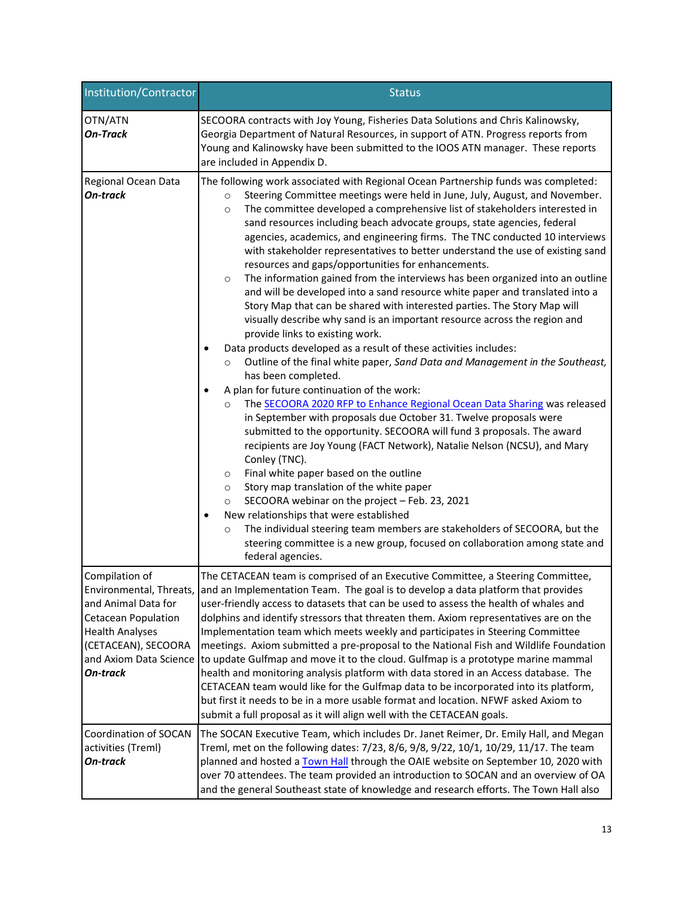| Institution/Contractor                                                                                                                                                                | <b>Status</b>                                                                                                                                                                                                                                                                                                                                                                                                                                                                                                                                                                                                                                                                                                                                                                                                                                                                                                                                                                                                                                                                                                                                                                                                                                                                                                                                                                                                                                                                                                                                                                                                                                                                                                                                                                                                                                                                                                                                                                  |
|---------------------------------------------------------------------------------------------------------------------------------------------------------------------------------------|--------------------------------------------------------------------------------------------------------------------------------------------------------------------------------------------------------------------------------------------------------------------------------------------------------------------------------------------------------------------------------------------------------------------------------------------------------------------------------------------------------------------------------------------------------------------------------------------------------------------------------------------------------------------------------------------------------------------------------------------------------------------------------------------------------------------------------------------------------------------------------------------------------------------------------------------------------------------------------------------------------------------------------------------------------------------------------------------------------------------------------------------------------------------------------------------------------------------------------------------------------------------------------------------------------------------------------------------------------------------------------------------------------------------------------------------------------------------------------------------------------------------------------------------------------------------------------------------------------------------------------------------------------------------------------------------------------------------------------------------------------------------------------------------------------------------------------------------------------------------------------------------------------------------------------------------------------------------------------|
| OTN/ATN<br><b>On-Track</b>                                                                                                                                                            | SECOORA contracts with Joy Young, Fisheries Data Solutions and Chris Kalinowsky,<br>Georgia Department of Natural Resources, in support of ATN. Progress reports from<br>Young and Kalinowsky have been submitted to the IOOS ATN manager. These reports<br>are included in Appendix D.                                                                                                                                                                                                                                                                                                                                                                                                                                                                                                                                                                                                                                                                                                                                                                                                                                                                                                                                                                                                                                                                                                                                                                                                                                                                                                                                                                                                                                                                                                                                                                                                                                                                                        |
| Regional Ocean Data<br>On-track                                                                                                                                                       | The following work associated with Regional Ocean Partnership funds was completed:<br>Steering Committee meetings were held in June, July, August, and November.<br>$\circ$<br>The committee developed a comprehensive list of stakeholders interested in<br>$\circ$<br>sand resources including beach advocate groups, state agencies, federal<br>agencies, academics, and engineering firms. The TNC conducted 10 interviews<br>with stakeholder representatives to better understand the use of existing sand<br>resources and gaps/opportunities for enhancements.<br>The information gained from the interviews has been organized into an outline<br>$\circ$<br>and will be developed into a sand resource white paper and translated into a<br>Story Map that can be shared with interested parties. The Story Map will<br>visually describe why sand is an important resource across the region and<br>provide links to existing work.<br>Data products developed as a result of these activities includes:<br>$\bullet$<br>Outline of the final white paper, Sand Data and Management in the Southeast,<br>$\circ$<br>has been completed.<br>A plan for future continuation of the work:<br>$\bullet$<br>The SECOORA 2020 RFP to Enhance Regional Ocean Data Sharing was released<br>$\circ$<br>in September with proposals due October 31. Twelve proposals were<br>submitted to the opportunity. SECOORA will fund 3 proposals. The award<br>recipients are Joy Young (FACT Network), Natalie Nelson (NCSU), and Mary<br>Conley (TNC).<br>Final white paper based on the outline<br>$\circ$<br>Story map translation of the white paper<br>$\circ$<br>SECOORA webinar on the project - Feb. 23, 2021<br>$\circ$<br>New relationships that were established<br>$\bullet$<br>The individual steering team members are stakeholders of SECOORA, but the<br>$\circ$<br>steering committee is a new group, focused on collaboration among state and<br>federal agencies. |
| Compilation of<br>Environmental, Threats,<br>and Animal Data for<br><b>Cetacean Population</b><br><b>Health Analyses</b><br>(CETACEAN), SECOORA<br>and Axiom Data Science<br>On-track | The CETACEAN team is comprised of an Executive Committee, a Steering Committee,<br>and an Implementation Team. The goal is to develop a data platform that provides<br>user-friendly access to datasets that can be used to assess the health of whales and<br>dolphins and identify stressors that threaten them. Axiom representatives are on the<br>Implementation team which meets weekly and participates in Steering Committee<br>meetings. Axiom submitted a pre-proposal to the National Fish and Wildlife Foundation<br>to update Gulfmap and move it to the cloud. Gulfmap is a prototype marine mammal<br>health and monitoring analysis platform with data stored in an Access database. The<br>CETACEAN team would like for the Gulfmap data to be incorporated into its platform,<br>but first it needs to be in a more usable format and location. NFWF asked Axiom to<br>submit a full proposal as it will align well with the CETACEAN goals.                                                                                                                                                                                                                                                                                                                                                                                                                                                                                                                                                                                                                                                                                                                                                                                                                                                                                                                                                                                                                 |
| Coordination of SOCAN<br>activities (Treml)<br>On-track                                                                                                                               | The SOCAN Executive Team, which includes Dr. Janet Reimer, Dr. Emily Hall, and Megan<br>Treml, met on the following dates: 7/23, 8/6, 9/8, 9/22, 10/1, 10/29, 11/17. The team<br>planned and hosted a Town Hall through the OAIE website on September 10, 2020 with<br>over 70 attendees. The team provided an introduction to SOCAN and an overview of OA<br>and the general Southeast state of knowledge and research efforts. The Town Hall also                                                                                                                                                                                                                                                                                                                                                                                                                                                                                                                                                                                                                                                                                                                                                                                                                                                                                                                                                                                                                                                                                                                                                                                                                                                                                                                                                                                                                                                                                                                            |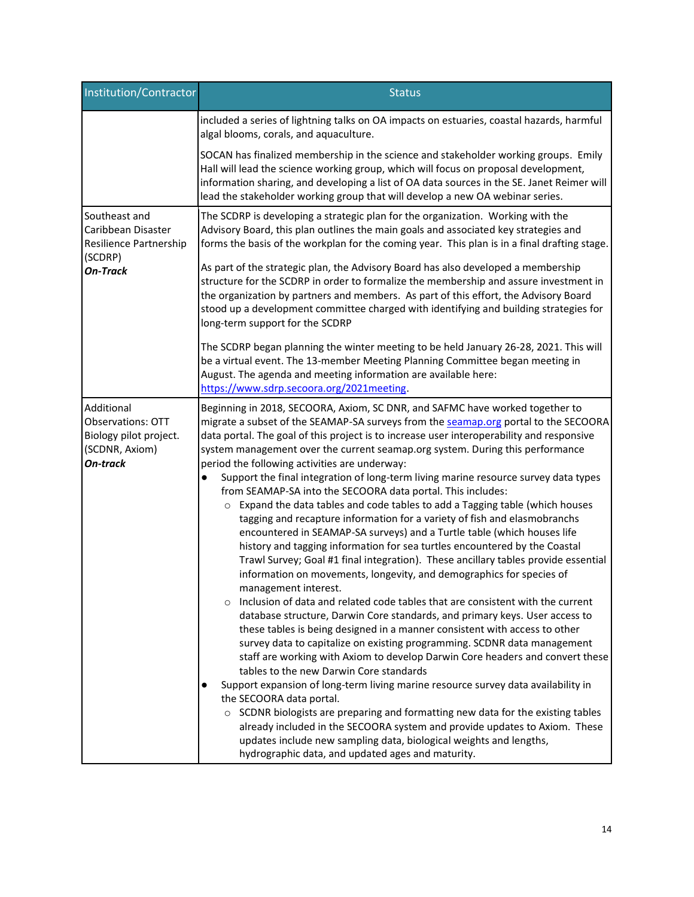| Institution/Contractor                                                                         | <b>Status</b>                                                                                                                                                                                                                                                                                                                                                                                                                                                                                                                                                                                                                                                                                                                                                                                                                                                                                                                                                                                                                                                                                                                                                                                                                                                                                                                                                                                                                                                                                                                                                                                                                                                                                                                                                                                                                                                                                                                                                    |
|------------------------------------------------------------------------------------------------|------------------------------------------------------------------------------------------------------------------------------------------------------------------------------------------------------------------------------------------------------------------------------------------------------------------------------------------------------------------------------------------------------------------------------------------------------------------------------------------------------------------------------------------------------------------------------------------------------------------------------------------------------------------------------------------------------------------------------------------------------------------------------------------------------------------------------------------------------------------------------------------------------------------------------------------------------------------------------------------------------------------------------------------------------------------------------------------------------------------------------------------------------------------------------------------------------------------------------------------------------------------------------------------------------------------------------------------------------------------------------------------------------------------------------------------------------------------------------------------------------------------------------------------------------------------------------------------------------------------------------------------------------------------------------------------------------------------------------------------------------------------------------------------------------------------------------------------------------------------------------------------------------------------------------------------------------------------|
|                                                                                                | included a series of lightning talks on OA impacts on estuaries, coastal hazards, harmful<br>algal blooms, corals, and aquaculture.                                                                                                                                                                                                                                                                                                                                                                                                                                                                                                                                                                                                                                                                                                                                                                                                                                                                                                                                                                                                                                                                                                                                                                                                                                                                                                                                                                                                                                                                                                                                                                                                                                                                                                                                                                                                                              |
|                                                                                                | SOCAN has finalized membership in the science and stakeholder working groups. Emily<br>Hall will lead the science working group, which will focus on proposal development,<br>information sharing, and developing a list of OA data sources in the SE. Janet Reimer will<br>lead the stakeholder working group that will develop a new OA webinar series.                                                                                                                                                                                                                                                                                                                                                                                                                                                                                                                                                                                                                                                                                                                                                                                                                                                                                                                                                                                                                                                                                                                                                                                                                                                                                                                                                                                                                                                                                                                                                                                                        |
| Southeast and<br>Caribbean Disaster<br>Resilience Partnership<br>(SCDRP)<br><b>On-Track</b>    | The SCDRP is developing a strategic plan for the organization. Working with the<br>Advisory Board, this plan outlines the main goals and associated key strategies and<br>forms the basis of the workplan for the coming year. This plan is in a final drafting stage.<br>As part of the strategic plan, the Advisory Board has also developed a membership<br>structure for the SCDRP in order to formalize the membership and assure investment in<br>the organization by partners and members. As part of this effort, the Advisory Board<br>stood up a development committee charged with identifying and building strategies for                                                                                                                                                                                                                                                                                                                                                                                                                                                                                                                                                                                                                                                                                                                                                                                                                                                                                                                                                                                                                                                                                                                                                                                                                                                                                                                            |
|                                                                                                | long-term support for the SCDRP<br>The SCDRP began planning the winter meeting to be held January 26-28, 2021. This will<br>be a virtual event. The 13-member Meeting Planning Committee began meeting in<br>August. The agenda and meeting information are available here:<br>https://www.sdrp.secoora.org/2021meeting.                                                                                                                                                                                                                                                                                                                                                                                                                                                                                                                                                                                                                                                                                                                                                                                                                                                                                                                                                                                                                                                                                                                                                                                                                                                                                                                                                                                                                                                                                                                                                                                                                                         |
| Additional<br>Observations: OTT<br>Biology pilot project.<br>(SCDNR, Axiom)<br><b>On-track</b> | Beginning in 2018, SECOORA, Axiom, SC DNR, and SAFMC have worked together to<br>migrate a subset of the SEAMAP-SA surveys from the seamap.org portal to the SECOORA<br>data portal. The goal of this project is to increase user interoperability and responsive<br>system management over the current seamap.org system. During this performance<br>period the following activities are underway:<br>Support the final integration of long-term living marine resource survey data types<br>$\bullet$<br>from SEAMAP-SA into the SECOORA data portal. This includes:<br>Expand the data tables and code tables to add a Tagging table (which houses<br>$\circ$<br>tagging and recapture information for a variety of fish and elasmobranchs<br>encountered in SEAMAP-SA surveys) and a Turtle table (which houses life<br>history and tagging information for sea turtles encountered by the Coastal<br>Trawl Survey; Goal #1 final integration). These ancillary tables provide essential<br>information on movements, longevity, and demographics for species of<br>management interest.<br>Inclusion of data and related code tables that are consistent with the current<br>database structure, Darwin Core standards, and primary keys. User access to<br>these tables is being designed in a manner consistent with access to other<br>survey data to capitalize on existing programming. SCDNR data management<br>staff are working with Axiom to develop Darwin Core headers and convert these<br>tables to the new Darwin Core standards<br>Support expansion of long-term living marine resource survey data availability in<br>the SECOORA data portal.<br>o SCDNR biologists are preparing and formatting new data for the existing tables<br>already included in the SECOORA system and provide updates to Axiom. These<br>updates include new sampling data, biological weights and lengths,<br>hydrographic data, and updated ages and maturity. |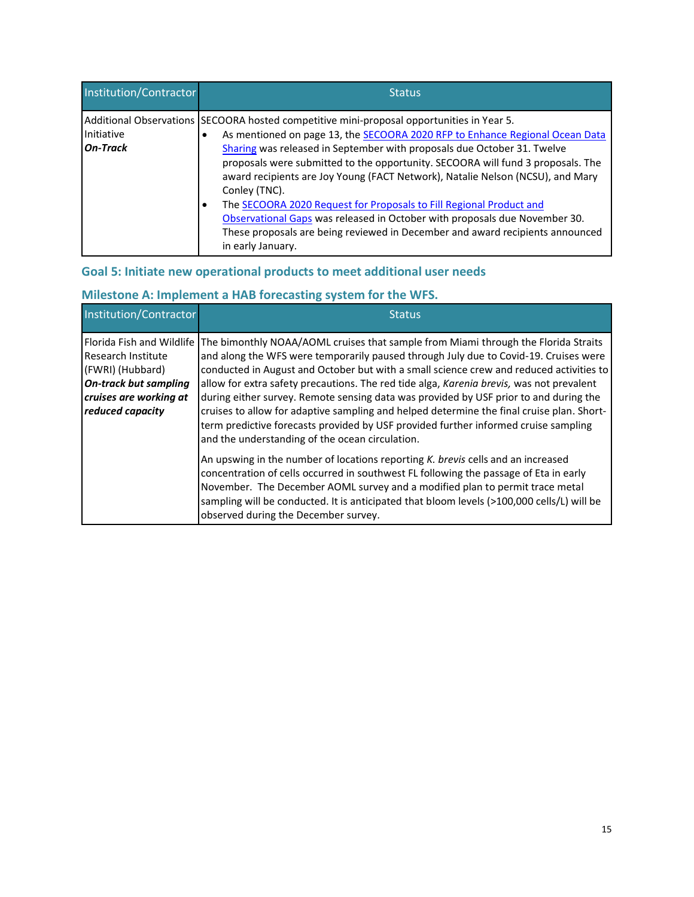| Institution/Contractor        | <b>Status</b>                                                                                                                                                                                                                                                                                                                                                                                                                                                                                                                                                                                                                                                                                                      |
|-------------------------------|--------------------------------------------------------------------------------------------------------------------------------------------------------------------------------------------------------------------------------------------------------------------------------------------------------------------------------------------------------------------------------------------------------------------------------------------------------------------------------------------------------------------------------------------------------------------------------------------------------------------------------------------------------------------------------------------------------------------|
| Initiative<br><b>On-Track</b> | Additional Observations SECOORA hosted competitive mini-proposal opportunities in Year 5.<br>As mentioned on page 13, the SECOORA 2020 RFP to Enhance Regional Ocean Data<br>Sharing was released in September with proposals due October 31. Twelve<br>proposals were submitted to the opportunity. SECOORA will fund 3 proposals. The<br>award recipients are Joy Young (FACT Network), Natalie Nelson (NCSU), and Mary<br>Conley (TNC).<br>The SECOORA 2020 Request for Proposals to Fill Regional Product and<br>$\bullet$<br>Observational Gaps was released in October with proposals due November 30.<br>These proposals are being reviewed in December and award recipients announced<br>in early January. |

## **Goal 5: Initiate new operational products to meet additional user needs**

## **Milestone A: Implement a HAB forecasting system for the WFS.**

| Institution/Contractor                                                                                                                            | <b>Status</b>                                                                                                                                                                                                                                                                                                                                                                                                                                                                                                                                                                                                                                                                                     |
|---------------------------------------------------------------------------------------------------------------------------------------------------|---------------------------------------------------------------------------------------------------------------------------------------------------------------------------------------------------------------------------------------------------------------------------------------------------------------------------------------------------------------------------------------------------------------------------------------------------------------------------------------------------------------------------------------------------------------------------------------------------------------------------------------------------------------------------------------------------|
| Florida Fish and Wildlife<br>Research Institute<br>(FWRI) (Hubbard)<br><b>On-track but sampling</b><br>cruises are working at<br>reduced capacity | The bimonthly NOAA/AOML cruises that sample from Miami through the Florida Straits<br>and along the WFS were temporarily paused through July due to Covid-19. Cruises were<br>conducted in August and October but with a small science crew and reduced activities to<br>allow for extra safety precautions. The red tide alga, Karenia brevis, was not prevalent<br>during either survey. Remote sensing data was provided by USF prior to and during the<br>cruises to allow for adaptive sampling and helped determine the final cruise plan. Short-<br>term predictive forecasts provided by USF provided further informed cruise sampling<br>and the understanding of the ocean circulation. |
|                                                                                                                                                   | An upswing in the number of locations reporting K. brevis cells and an increased<br>concentration of cells occurred in southwest FL following the passage of Eta in early<br>November. The December AOML survey and a modified plan to permit trace metal<br>sampling will be conducted. It is anticipated that bloom levels (>100,000 cells/L) will be<br>observed during the December survey.                                                                                                                                                                                                                                                                                                   |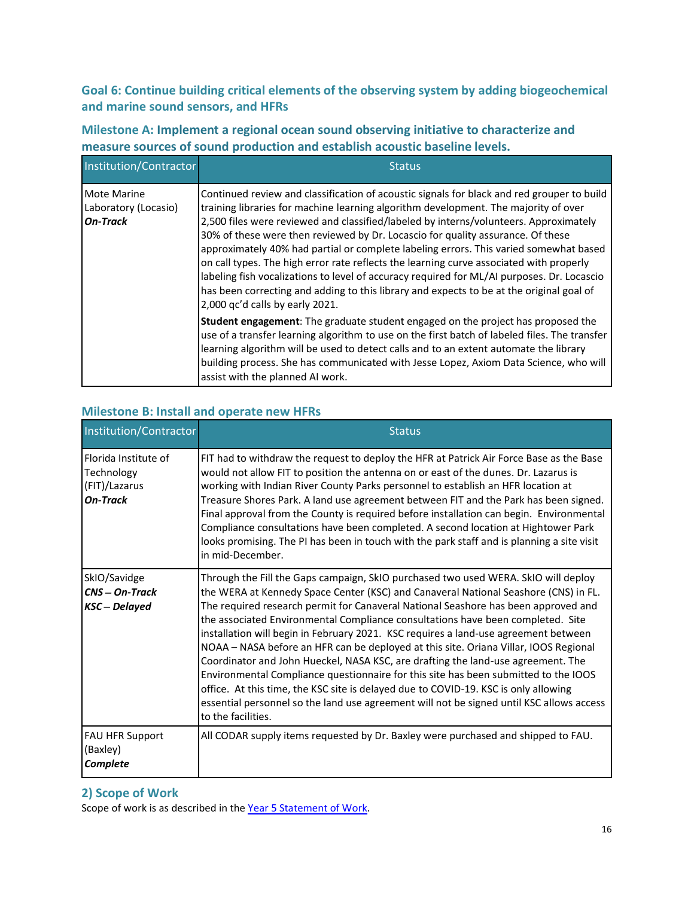**Goal 6: Continue building critical elements of the observing system by adding biogeochemical and marine sound sensors, and HFRs**

## **Milestone A: Implement a regional ocean sound observing initiative to characterize and measure sources of sound production and establish acoustic baseline levels.**

| Institution/Contractor                                        | <b>Status</b>                                                                                                                                                                                                                                                                                                                                                                                                                                                                                                                                                                                                                                                                                                                                                                  |
|---------------------------------------------------------------|--------------------------------------------------------------------------------------------------------------------------------------------------------------------------------------------------------------------------------------------------------------------------------------------------------------------------------------------------------------------------------------------------------------------------------------------------------------------------------------------------------------------------------------------------------------------------------------------------------------------------------------------------------------------------------------------------------------------------------------------------------------------------------|
| <b>Mote Marine</b><br>Laboratory (Locasio)<br><b>On-Track</b> | Continued review and classification of acoustic signals for black and red grouper to build<br>training libraries for machine learning algorithm development. The majority of over<br>2,500 files were reviewed and classified/labeled by interns/volunteers. Approximately<br>30% of these were then reviewed by Dr. Locascio for quality assurance. Of these<br>approximately 40% had partial or complete labeling errors. This varied somewhat based<br>on call types. The high error rate reflects the learning curve associated with properly<br>labeling fish vocalizations to level of accuracy required for ML/AI purposes. Dr. Locascio<br>has been correcting and adding to this library and expects to be at the original goal of<br>2,000 qc'd calls by early 2021. |
|                                                               | <b>Student engagement:</b> The graduate student engaged on the project has proposed the<br>use of a transfer learning algorithm to use on the first batch of labeled files. The transfer<br>learning algorithm will be used to detect calls and to an extent automate the library<br>building process. She has communicated with Jesse Lopez, Axiom Data Science, who will<br>assist with the planned AI work.                                                                                                                                                                                                                                                                                                                                                                 |

#### Institution/Contractor Status Status Status Status Status Status Status Status Status Status Status Status Status Status Status Status Status Status Status Status Status Status Status Status Status Status Status Status Sta Florida Institute of **Technology** (FIT)/Lazarus *On-Track* FIT had to withdraw the request to deploy the HFR at Patrick Air Force Base as the Base would not allow FIT to position the antenna on or east of the dunes. Dr. Lazarus is working with Indian River County Parks personnel to establish an HFR location at Treasure Shores Park. A land use agreement between FIT and the Park has been signed. Final approval from the County is required before installation can begin. Environmental Compliance consultations have been completed. A second location at Hightower Park looks promising. The PI has been in touch with the park staff and is planning a site visit in mid-December. SkIO/Savidge *CNS – On-Track KSC – Delayed* Through the Fill the Gaps campaign, SkIO purchased two used WERA. SkIO will deploy the WERA at Kennedy Space Center (KSC) and Canaveral National Seashore (CNS) in FL. The required research permit for Canaveral National Seashore has been approved and the associated Environmental Compliance consultations have been completed. Site installation will begin in February 2021. KSC requires a land-use agreement between NOAA – NASA before an HFR can be deployed at this site. Oriana Villar, IOOS Regional Coordinator and John Hueckel, NASA KSC, are drafting the land-use agreement. The Environmental Compliance questionnaire for this site has been submitted to the IOOS office. At this time, the KSC site is delayed due to COVID-19. KSC is only allowing essential personnel so the land use agreement will not be signed until KSC allows access to the facilities. FAU HFR Support (Baxley) *Complete* All CODAR supply items requested by Dr. Baxley were purchased and shipped to FAU.

## **Milestone B: Install and operate new HFRs**

### **2) Scope of Work**

Scope of work is as described in the Year 5 [Statement of Work.](https://secoora.org/wp-content/uploads/2020/09/0-MASTER-YEAR-5-DESCOPE-ALL-COMBINED.pdf)